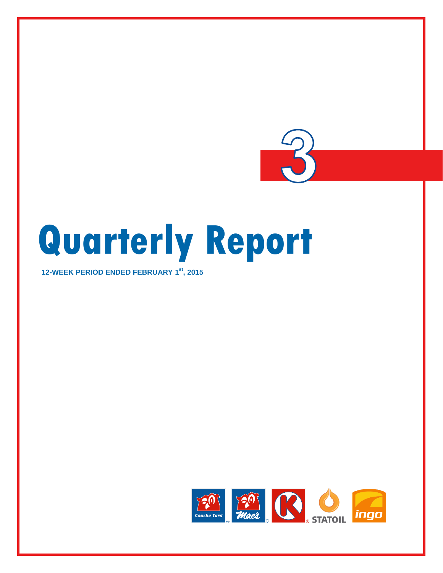

# **Quarterly Report**

**12-WEEK PERIOD ENDED FEBRUARY 1 st , 2015**

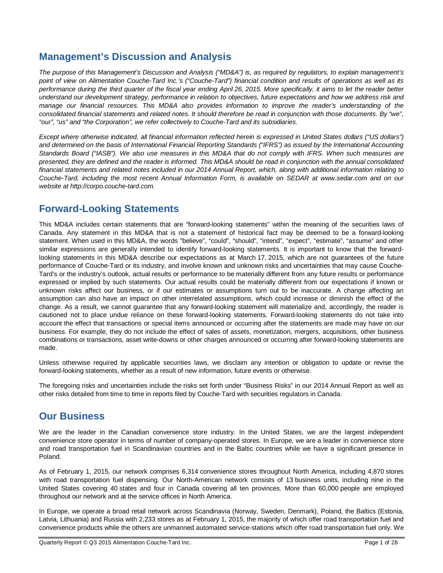# **Management's Discussion and Analysis**

*The purpose of this Management's Discussion and Analysis ("MD&A") is, as required by regulators, to explain management's point of view on Alimentation Couche-Tard Inc.'s ("Couche-Tard") financial condition and results of operations as well as its performance during the third quarter of the fiscal year ending April 26, 2015. More specifically, it aims to let the reader better understand our development strategy, performance in relation to objectives, future expectations and how we address risk and manage our financial resources. This MD&A also provides information to improve the reader's understanding of the consolidated financial statements and related notes. It should therefore be read in conjunction with those documents. By "we", "our", "us" and "the Corporation", we refer collectively to Couche-Tard and its subsidiaries.*

*Except where otherwise indicated, all financial information reflected herein is expressed in United States dollars ("US dollars") and determined on the basis of International Financial Reporting Standards ("IFRS") as issued by the International Accounting Standards Board ("IASB"). We also use measures in this MD&A that do not comply with IFRS. When such measures are presented, they are defined and the reader is informed. This MD&A should be read in conjunction with the annual consolidated financial statements and related notes included in our 2014 Annual Report, which, along with additional information relating to Couche-Tard, including the most recent Annual Information Form, is available on SEDAR at www.sedar.com and on our website at http://corpo.couche-tard.com.*

# **Forward-Looking Statements**

This MD&A includes certain statements that are "forward-looking statements" within the meaning of the securities laws of Canada. Any statement in this MD&A that is not a statement of historical fact may be deemed to be a forward-looking statement. When used in this MD&A, the words "believe", "could", "should", "intend", "expect", "estimate", "assume" and other similar expressions are generally intended to identify forward-looking statements. It is important to know that the forwardlooking statements in this MD&A describe our expectations as at March 17, 2015, which are not guarantees of the future performance of Couche-Tard or its industry, and involve known and unknown risks and uncertainties that may cause Couche-Tard's or the industry's outlook, actual results or performance to be materially different from any future results or performance expressed or implied by such statements. Our actual results could be materially different from our expectations if known or unknown risks affect our business, or if our estimates or assumptions turn out to be inaccurate. A change affecting an assumption can also have an impact on other interrelated assumptions, which could increase or diminish the effect of the change. As a result, we cannot guarantee that any forward-looking statement will materialize and, accordingly, the reader is cautioned not to place undue reliance on these forward-looking statements. Forward-looking statements do not take into account the effect that transactions or special items announced or occurring after the statements are made may have on our business. For example, they do not include the effect of sales of assets, monetization, mergers, acquisitions, other business combinations or transactions, asset write-downs or other charges announced or occurring after forward-looking statements are made.

Unless otherwise required by applicable securities laws, we disclaim any intention or obligation to update or revise the forward-looking statements, whether as a result of new information, future events or otherwise.

The foregoing risks and uncertainties include the risks set forth under "Business Risks" in our 2014 Annual Report as well as other risks detailed from time to time in reports filed by Couche-Tard with securities regulators in Canada.

# **Our Business**

We are the leader in the Canadian convenience store industry. In the United States, we are the largest independent convenience store operator in terms of number of company-operated stores. In Europe, we are a leader in convenience store and road transportation fuel in Scandinavian countries and in the Baltic countries while we have a significant presence in Poland.

As of February 1, 2015, our network comprises 6,314 convenience stores throughout North America, including 4,870 stores with road transportation fuel dispensing. Our North-American network consists of 13 business units, including nine in the United States covering 40 states and four in Canada covering all ten provinces. More than 60,000 people are employed throughout our network and at the service offices in North America.

In Europe, we operate a broad retail network across Scandinavia (Norway, Sweden, Denmark), Poland, the Baltics (Estonia, Latvia, Lithuania) and Russia with 2,233 stores as at February 1, 2015, the majority of which offer road transportation fuel and convenience products while the others are unmanned automated service-stations which offer road transportation fuel only. We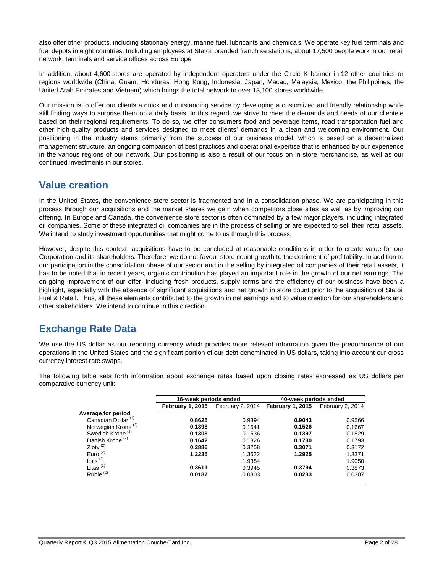also offer other products, including stationary energy, marine fuel, lubricants and chemicals. We operate key fuel terminals and fuel depots in eight countries. Including employees at Statoil branded franchise stations, about 17,500 people work in our retail network, terminals and service offices across Europe.

In addition, about 4,600 stores are operated by independent operators under the Circle K banner in 12 other countries or regions worldwide (China, Guam, Honduras, Hong Kong, Indonesia, Japan, Macau, Malaysia, Mexico, the Philippines, the United Arab Emirates and Vietnam) which brings the total network to over 13,100 stores worldwide.

Our mission is to offer our clients a quick and outstanding service by developing a customized and friendly relationship while still finding ways to surprise them on a daily basis. In this regard, we strive to meet the demands and needs of our clientele based on their regional requirements. To do so, we offer consumers food and beverage items, road transportation fuel and other high-quality products and services designed to meet clients' demands in a clean and welcoming environment. Our positioning in the industry stems primarily from the success of our business model, which is based on a decentralized management structure, an ongoing comparison of best practices and operational expertise that is enhanced by our experience in the various regions of our network. Our positioning is also a result of our focus on in-store merchandise, as well as our continued investments in our stores.

# **Value creation**

In the United States, the convenience store sector is fragmented and in a consolidation phase. We are participating in this process through our acquisitions and the market shares we gain when competitors close sites as well as by improving our offering. In Europe and Canada, the convenience store sector is often dominated by a few major players, including integrated oil companies. Some of these integrated oil companies are in the process of selling or are expected to sell their retail assets. We intend to study investment opportunities that might come to us through this process.

However, despite this context, acquisitions have to be concluded at reasonable conditions in order to create value for our Corporation and its shareholders. Therefore, we do not favour store count growth to the detriment of profitability. In addition to our participation in the consolidation phase of our sector and in the selling by integrated oil companies of their retail assets, it has to be noted that in recent years, organic contribution has played an important role in the growth of our net earnings. The on-going improvement of our offer, including fresh products, supply terms and the efficiency of our business have been a highlight, especially with the absence of significant acquisitions and net growth in store count prior to the acquisition of Statoil Fuel & Retail. Thus, all these elements contributed to the growth in net earnings and to value creation for our shareholders and other stakeholders. We intend to continue in this direction.

# **Exchange Rate Data**

We use the US dollar as our reporting currency which provides more relevant information given the predominance of our operations in the United States and the significant portion of our debt denominated in US dollars, taking into account our cross currency interest rate swaps.

The following table sets forth information about exchange rates based upon closing rates expressed as US dollars per comparative currency unit:

|                                | 16-week periods ended   |                  | 40-week periods ended   |                  |
|--------------------------------|-------------------------|------------------|-------------------------|------------------|
|                                | <b>February 1, 2015</b> | February 2, 2014 | <b>February 1, 2015</b> | February 2, 2014 |
| Average for period             |                         |                  |                         |                  |
| Canadian Dollar <sup>(1)</sup> | 0.8625                  | 0.9394           | 0.9043                  | 0.9566           |
| Norwegian Krone <sup>(2)</sup> | 0.1398                  | 0.1641           | 0.1526                  | 0.1667           |
| Swedish Krone <sup>(2)</sup>   | 0.1308                  | 0.1536           | 0.1397                  | 0.1529           |
| Danish Krone <sup>(2)</sup>    | 0.1642                  | 0.1826           | 0.1730                  | 0.1793           |
| Zloty $\frac{2}{2}$            | 0.2886                  | 0.3258           | 0.3071                  | 0.3172           |
| Euro $(2)$                     | 1.2235                  | 1.3622           | 1.2925                  | 1.3371           |
| Lats $(2)$                     | -                       | 1.9384           | $\blacksquare$          | 1.9050           |
| Litas $(3)$                    | 0.3611                  | 0.3945           | 0.3794                  | 0.3873           |
| Ruble $(2)$                    | 0.0187                  | 0.0303           | 0.0233                  | 0.0307           |
|                                |                         |                  |                         |                  |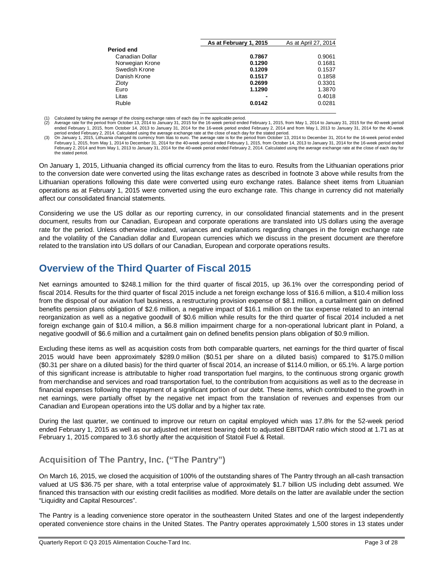|                 | As at February 1, 2015 | As at April 27, 2014 |  |
|-----------------|------------------------|----------------------|--|
| Period end      |                        |                      |  |
| Canadian Dollar | 0.7867                 | 0.9061               |  |
| Norwegian Krone | 0.1290                 | 0.1681               |  |
| Swedish Krone   | 0.1209                 | 0.1537               |  |
| Danish Krone    | 0.1517                 | 0.1858               |  |
| Zloty           | 0.2699                 | 0.3301               |  |
| Euro            | 1.1290                 | 1.3870               |  |
| Litas           |                        | 0.4018               |  |
| Ruble           | 0.0142                 | 0.0281               |  |
|                 |                        |                      |  |

(1) Calculated by taking the average of the closing exchange rates of each day in the applicable period.<br>(2) Average rate for the period from October 13, 2014 to January 31, 2015 for the 16-week period ended February 1, 20 ended February 1, 2015, from October 14, 2013 to January 31, 2014 for the 16-week period ended February 2, 2014 and from May 1, 2013 to January 31, 2014 for the 40-week period ended February 2, 2014. Calculated using the average exchange rate at the close of each day for the stated period.<br>(3) On January 1, 2015, Lithuania changed its currency from litas to euro. The average rate is for t

February 1, 2015, from May 1, 2014 to December 31, 2014 for the 40-week period ended February 1, 2015, from October 14, 2013 to January 31, 2014 for the 16-week period ended February 2, 2014 and from May 1, 2013 to January 31, 2014 for the 40-week period ended February 2, 2014. Calculated using the average exchange rate at the close of each day for the stated period.

On January 1, 2015, Lithuania changed its official currency from the litas to euro. Results from the Lithuanian operations prior to the conversion date were converted using the litas exchange rates as described in footnote 3 above while results from the Lithuanian operations following this date were converted using euro exchange rates. Balance sheet items from Lituanian operations as at February 1, 2015 were converted using the euro exchange rate. This change in currency did not materially affect our consolidated financial statements.

Considering we use the US dollar as our reporting currency, in our consolidated financial statements and in the present document, results from our Canadian, European and corporate operations are translated into US dollars using the average rate for the period. Unless otherwise indicated, variances and explanations regarding changes in the foreign exchange rate and the volatility of the Canadian dollar and European currencies which we discuss in the present document are therefore related to the translation into US dollars of our Canadian, European and corporate operations results.

# **Overview of the Third Quarter of Fiscal 2015**

Net earnings amounted to \$248.1 million for the third quarter of fiscal 2015, up 36.1% over the corresponding period of fiscal 2014. Results for the third quarter of fiscal 2015 include a net foreign exchange loss of \$16.6 million, a \$10.4 million loss from the disposal of our aviation fuel business, a restructuring provision expense of \$8.1 million, a curtailment gain on defined benefits pension plans obligation of \$2.6 million, a negative impact of \$16.1 million on the tax expense related to an internal reorganization as well as a negative goodwill of \$0.6 million while results for the third quarter of fiscal 2014 included a net foreign exchange gain of \$10.4 million, a \$6.8 million impairment charge for a non-operational lubricant plant in Poland, a negative goodwill of \$6.6 million and a curtailment gain on defined benefits pension plans obligation of \$0.9 million.

Excluding these items as well as acquisition costs from both comparable quarters, net earnings for the third quarter of fiscal 2015 would have been approximately \$289.0 million (\$0.51 per share on a diluted basis) compared to \$175.0 million (\$0.31 per share on a diluted basis) for the third quarter of fiscal 2014, an increase of \$114.0 million, or 65.1%. A large portion of this significant increase is attributable to higher road transportation fuel margins, to the continuous strong organic growth from merchandise and services and road transportation fuel, to the contribution from acquisitions as well as to the decrease in financial expenses following the repayment of a significant portion of our debt. These items, which contributed to the growth in net earnings, were partially offset by the negative net impact from the translation of revenues and expenses from our Canadian and European operations into the US dollar and by a higher tax rate.

During the last quarter, we continued to improve our return on capital employed which was 17.8% for the 52-week period ended February 1, 2015 as well as our adjusted net interest bearing debt to adjusted EBITDAR ratio which stood at 1.71 as at February 1, 2015 compared to 3.6 shortly after the acquisition of Statoil Fuel & Retail.

# **Acquisition of The Pantry, Inc. ("The Pantry")**

On March 16, 2015, we closed the acquisition of 100% of the outstanding shares of The Pantry through an all-cash transaction valued at US \$36.75 per share, with a total enterprise value of approximately \$1.7 billion US including debt assumed. We financed this transaction with our existing credit facilities as modified. More details on the latter are available under the section "Liquidity and Capital Resources".

The Pantry is a leading convenience store operator in the southeastern United States and one of the largest independently operated convenience store chains in the United States. The Pantry operates approximately 1,500 stores in 13 states under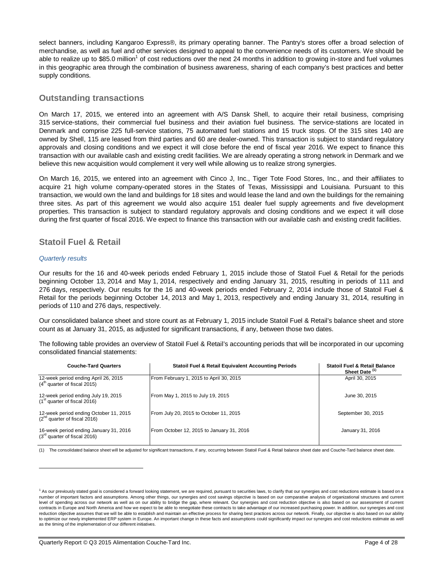select banners, including Kangaroo Express®, its primary operating banner. The Pantry's stores offer a broad selection of merchandise, as well as fuel and other services designed to appeal to the convenience needs of its customers. We should be able to realize up to \$85.0 million<sup>1</sup> of cost reductions over the next 24 months in addition to growing in-store and fuel volumes in this geographic area through the combination of business awareness, sharing of each company's best practices and better supply conditions.

# **Outstanding transactions**

On March 17, 2015, we entered into an agreement with A/S Dansk Shell, to acquire their retail business, comprising 315 service-stations, their commercial fuel business and their aviation fuel business. The service-stations are located in Denmark and comprise 225 full-service stations, 75 automated fuel stations and 15 truck stops. Of the 315 sites 140 are owned by Shell, 115 are leased from third parties and 60 are dealer-owned. This transaction is subject to standard regulatory approvals and closing conditions and we expect it will close before the end of fiscal year 2016. We expect to finance this transaction with our available cash and existing credit facilities. We are already operating a strong network in Denmark and we believe this new acquisition would complement it very well while allowing us to realize strong synergies.

On March 16, 2015, we entered into an agreement with Cinco J, Inc., Tiger Tote Food Stores, Inc., and their affiliates to acquire 21 high volume company-operated stores in the States of Texas, Mississippi and Louisiana. Pursuant to this transaction, we would own the land and buildings for 18 sites and would lease the land and own the buildings for the remaining three sites. As part of this agreement we would also acquire 151 dealer fuel supply agreements and five development properties. This transaction is subject to standard regulatory approvals and closing conditions and we expect it will close during the first quarter of fiscal 2016. We expect to finance this transaction with our available cash and existing credit facilities.

# **Statoil Fuel & Retail**

### *Quarterly results*

 $\overline{a}$ 

Our results for the 16 and 40-week periods ended February 1, 2015 include those of Statoil Fuel & Retail for the periods beginning October 13, 2014 and May 1, 2014, respectively and ending January 31, 2015, resulting in periods of 111 and 276 days, respectively. Our results for the 16 and 40-week periods ended February 2, 2014 include those of Statoil Fuel & Retail for the periods beginning October 14, 2013 and May 1, 2013, respectively and ending January 31, 2014, resulting in periods of 110 and 276 days, respectively.

Our consolidated balance sheet and store count as at February 1, 2015 include Statoil Fuel & Retail's balance sheet and store count as at January 31, 2015, as adjusted for significant transactions, if any, between those two dates.

The following table provides an overview of Statoil Fuel & Retail's accounting periods that will be incorporated in our upcoming consolidated financial statements:

| <b>Couche-Tard Quarters</b>                                                 | <b>Statoil Fuel &amp; Retail Equivalent Accounting Periods</b> | <b>Statoil Fuel &amp; Retail Balance</b><br>Sheet Date (1) |
|-----------------------------------------------------------------------------|----------------------------------------------------------------|------------------------------------------------------------|
| 12-week period ending April 26, 2015<br>$(4th$ quarter of fiscal 2015)      | From February 1, 2015 to April 30, 2015                        | April 30, 2015                                             |
| 12-week period ending July 19, 2015<br>$(1st$ quarter of fiscal 2016)       | From May 1, 2015 to July 19, 2015                              | June 30, 2015                                              |
| 12-week period ending October 11, 2015<br>$(2^{nd}$ quarter of fiscal 2016) | From July 20, 2015 to October 11, 2015                         | September 30, 2015                                         |
| 16-week period ending January 31, 2016<br>$(3rd$ quarter of fiscal 2016)    | From October 12, 2015 to January 31, 2016                      | January 31, 2016                                           |

The consolidated balance sheet will be adjusted for significant transactions, if any, occurring between Statoil Fuel & Retail balance sheet date and Couche-Tard balance sheet date

<sup>&</sup>lt;sup>1</sup> As our previously stated goal is considered a forward looking statement, we are required, pursuant to securities laws, to clarify that our synergies and cost reductions estimate is based on a number of important factors and assumptions. Among other things, our synergies and cost savings objective is based on our comparative analysis of organizational structures and current level of spending across our network as well as on our ability to bridge the gap, where relevant. Our synergies and cost reduction objective is also based on our assessment of current contracts in Europe and North America and how we expect to be able to renegotiate these contracts to take advantage of our increased purchasing power. In addition, our synergies and cost reduction objective assumes that we will be able to establish and maintain an effective process for sharing best practices across our network. Finally, our objective is also based on our ability to optimize our newly implemented ERP system in Europe. An important change in these facts and assumptions could significantly impact our synergies and cost reductions estimate as well as the timing of the implementation of our different initiatives.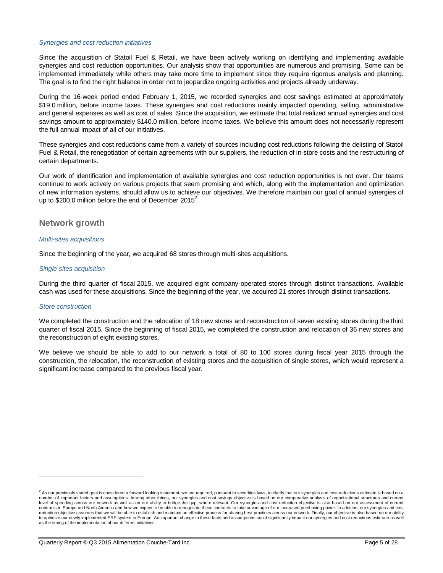### *Synergies and cost reduction initiatives*

Since the acquisition of Statoil Fuel & Retail, we have been actively working on identifying and implementing available synergies and cost reduction opportunities. Our analysis show that opportunities are numerous and promising. Some can be implemented immediately while others may take more time to implement since they require rigorous analysis and planning. The goal is to find the right balance in order not to jeopardize ongoing activities and projects already underway.

During the 16-week period ended February 1, 2015, we recorded synergies and cost savings estimated at approximately \$19.0 million, before income taxes. These synergies and cost reductions mainly impacted operating, selling, administrative and general expenses as well as cost of sales. Since the acquisition, we estimate that total realized annual synergies and cost savings amount to approximately \$140.0 million, before income taxes. We believe this amount does not necessarily represent the full annual impact of all of our initiatives.

These synergies and cost reductions came from a variety of sources including cost reductions following the delisting of Statoil Fuel & Retail, the renegotiation of certain agreements with our suppliers, the reduction of in-store costs and the restructuring of certain departments.

Our work of identification and implementation of available synergies and cost reduction opportunities is not over. Our teams continue to work actively on various projects that seem promising and which, along with the implementation and optimization of new information systems, should allow us to achieve our objectives. We therefore maintain our goal of annual synergies of up to \$200.0 million before the end of December 2015<sup>2</sup>.

### **Network growth**

### *Multi-sites acquisitions*

Since the beginning of the year, we acquired 68 stores through multi-sites acquisitions.

### *Single sites acquisition*

During the third quarter of fiscal 2015, we acquired eight company-operated stores through distinct transactions. Available cash was used for these acquisitions. Since the beginning of the year, we acquired 21 stores through distinct transactions.

### *Store construction*

 $\overline{a}$ 

We completed the construction and the relocation of 18 new stores and reconstruction of seven existing stores during the third quarter of fiscal 2015. Since the beginning of fiscal 2015, we completed the construction and relocation of 36 new stores and the reconstruction of eight existing stores.

We believe we should be able to add to our network a total of 80 to 100 stores during fiscal year 2015 through the construction, the relocation, the reconstruction of existing stores and the acquisition of single stores, which would represent a significant increase compared to the previous fiscal year.

 $^2$  As our previously stated goal is considered a forward looking statement, we are required, pursuant to securities laws, to clarify that our synergies and cost reductions estimate is based on a number of important factors and assumptions. Among other things, our synergies and cost savings objective is based on our comparative analysis of organizational structures and current<br>level of spending across our network a contracts in Europe and North America and how we expect to be able to renegotiate these contracts to take advantage of our increased purchasing power. In addition, our synergies and cost reduction objective assumes that we will be able to establish and maintain an effective process for sharing best practices across our network. Finally, our objective is also based on our ability to optimize our newly implemented ERP system in Europe. An important change in these facts and assumptions could significantly impact our synergies and cost reductions estimate as well as the timing of the implementation of our different initiatives.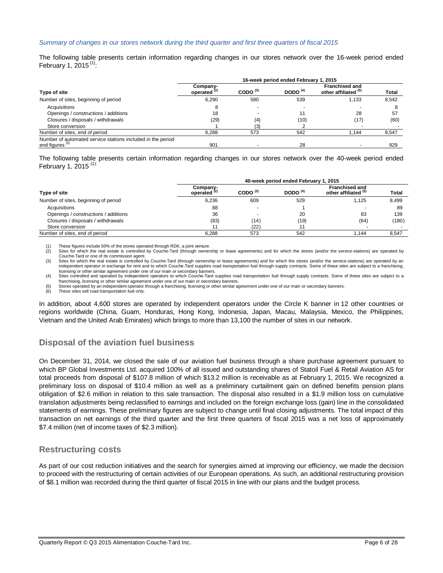### *Summary of changes in our stores network during the third quarter and first three quarters of fiscal 2015*

The following table presents certain information regarding changes in our stores network over the 16-week period ended February 1, 2015 $(1)$ :

|                                                                                           | 16-week period ended February 1, 2015 |                     |            |                                                          |              |  |  |
|-------------------------------------------------------------------------------------------|---------------------------------------|---------------------|------------|----------------------------------------------------------|--------------|--|--|
| Type of site                                                                              | Company-<br>operated <sup>(2)</sup>   | CODO <sup>(3)</sup> | DODO $(4)$ | <b>Franchised and</b><br>other affiliated <sup>(5)</sup> | <b>Total</b> |  |  |
| Number of sites, beginning of period                                                      | 6.290                                 | 580                 | 539        | 1,133                                                    | 8.542        |  |  |
| Acquisitions                                                                              |                                       |                     |            |                                                          |              |  |  |
| Openings / constructions / additions                                                      | 18                                    |                     | 11         | 28                                                       | 57           |  |  |
| Closures / disposals / withdrawals                                                        | (29)                                  | (4)                 | (10)       | (17)                                                     | (60)         |  |  |
| Store conversion                                                                          |                                       | (3)                 |            |                                                          |              |  |  |
| Number of sites, end of period                                                            | 6.288                                 | 573                 | 542        | 1.144                                                    | 8,547        |  |  |
| Number of automated service stations included in the period<br>end figures <sup>(6)</sup> | 901                                   |                     | 28         |                                                          | 929          |  |  |

The following table presents certain information regarding changes in our stores network over the 40-week period ended February 1, 2015 $(1)$ :

|                                      | 40-week period ended February 1, 2015 |                          |            |                                               |       |  |
|--------------------------------------|---------------------------------------|--------------------------|------------|-----------------------------------------------|-------|--|
| Type of site                         | Company-<br>operated $(2)$            | CODO $(3)$               | DODO $(4)$ | <b>Franchised and</b><br>other affiliated (b) | Total |  |
| Number of sites, beginning of period | 6.236                                 | 609                      | 529        | 1.125                                         | 8,499 |  |
| Acquisitions                         | 88                                    | $\overline{\phantom{a}}$ |            |                                               | 89    |  |
| Openings / constructions / additions | 36                                    | $\overline{\phantom{a}}$ | 20         | 83                                            | 139   |  |
| Closures / disposals / withdrawals   | (83)                                  | (14)                     | (19)       | (64)                                          | (180) |  |
| Store conversion                     |                                       | (22)                     |            |                                               |       |  |
| Number of sites, end of period       | 6.288                                 | 573                      | 542        | .144                                          | 8.547 |  |

(1) These figures include 50% of the stores operated through RDK, a joint venture.

Sites for which the real estate is controlled by Couche-Tard (through ownership or lease agreements) and for which the stores (and/or the service-stations) are operated by Couche-Tard or one of its commission agent.

(3) Sites for which the real estate is controlled by Couche-Tard (through ownership or lease agreements) and for which the stores (and/or the service-stations) are operated by an<br>independent operator in exchange for rent a licensing or other similar agreement under one of our main or secondary banners.

(4) Sites controlled and operated by independent operators to which Couche-Tard supplies road transportation fuel through supply contracts. Some of these sites are subject to a franchising, licensing or other similar agreement under one of our main or secondary banners.

(5) Stores operated by an independent operator through a franchising, licensing or other similar agreement under one of our main or secondary banners.

(6) These sites sell road transportation fuel only.

In addition, about 4,600 stores are operated by independent operators under the Circle K banner in 12 other countries or regions worldwide (China, Guam, Honduras, Hong Kong, Indonesia, Japan, Macau, Malaysia, Mexico, the Philippines, Vietnam and the United Arab Emirates) which brings to more than 13,100 the number of sites in our network.

# **Disposal of the aviation fuel business**

On December 31, 2014, we closed the sale of our aviation fuel business through a share purchase agreement pursuant to which BP Global Investments Ltd. acquired 100% of all issued and outstanding shares of Statoil Fuel & Retail Aviation AS for total proceeds from disposal of \$107.8 million of which \$13.2 million is receivable as at February 1, 2015. We recognized a preliminary loss on disposal of \$10.4 million as well as a preliminary curtailment gain on defined benefits pension plans obligation of \$2.6 million in relation to this sale transaction. The disposal also resulted in a \$1.9 million loss on cumulative translation adjustments being reclassified to earnings and included on the foreign exchange loss (gain) line in the consolidated statements of earnings. These preliminary figures are subject to change until final closing adjustments. The total impact of this transaction on net earnings of the third quarter and the first three quarters of fiscal 2015 was a net loss of approximately \$7.4 million (net of income taxes of \$2.3 million).

# **Restructuring costs**

As part of our cost reduction initiatives and the search for synergies aimed at improving our efficiency, we made the decision to proceed with the restructuring of certain activities of our European operations. As such, an additional restructuring provision of \$8.1 million was recorded during the third quarter of fiscal 2015 in line with our plans and the budget process.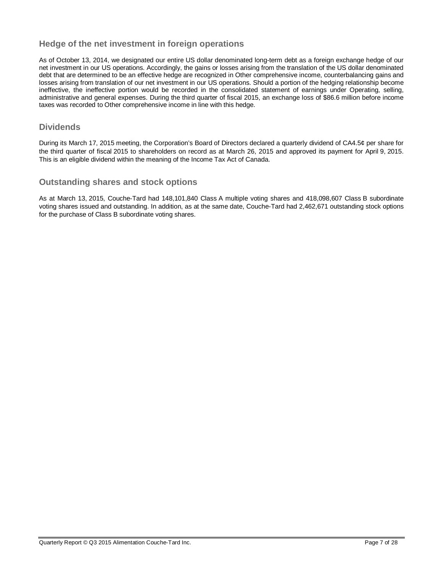# **Hedge of the net investment in foreign operations**

As of October 13, 2014, we designated our entire US dollar denominated long-term debt as a foreign exchange hedge of our net investment in our US operations. Accordingly, the gains or losses arising from the translation of the US dollar denominated debt that are determined to be an effective hedge are recognized in Other comprehensive income, counterbalancing gains and losses arising from translation of our net investment in our US operations. Should a portion of the hedging relationship become ineffective, the ineffective portion would be recorded in the consolidated statement of earnings under Operating, selling, administrative and general expenses. During the third quarter of fiscal 2015, an exchange loss of \$86.6 million before income taxes was recorded to Other comprehensive income in line with this hedge.

# **Dividends**

During its March 17, 2015 meeting, the Corporation's Board of Directors declared a quarterly dividend of CA4.5¢ per share for the third quarter of fiscal 2015 to shareholders on record as at March 26, 2015 and approved its payment for April 9, 2015. This is an eligible dividend within the meaning of the Income Tax Act of Canada.

# **Outstanding shares and stock options**

As at March 13, 2015, Couche-Tard had 148,101,840 Class A multiple voting shares and 418,098,607 Class B subordinate voting shares issued and outstanding. In addition, as at the same date, Couche-Tard had 2,462,671 outstanding stock options for the purchase of Class B subordinate voting shares.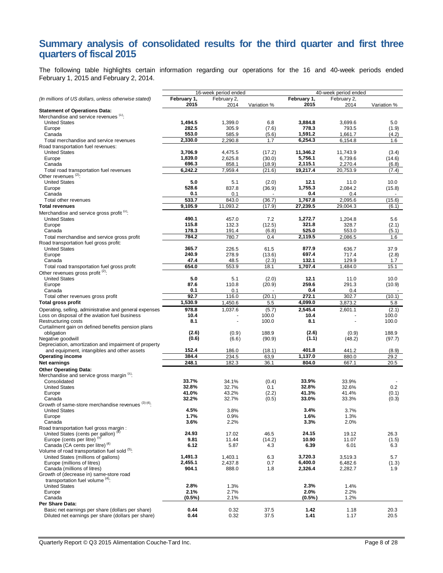# **Summary analysis of consolidated results for the third quarter and first three quarters of fiscal 2015**

The following table highlights certain information regarding our operations for the 16 and 40-week periods ended February 1, 2015 and February 2, 2014.

|                                                                                     | 16-week period ended |                     |                  | 40-week period ended |                     |                 |
|-------------------------------------------------------------------------------------|----------------------|---------------------|------------------|----------------------|---------------------|-----------------|
| (In millions of US dollars, unless otherwise stated)                                | February 1,<br>2015  | February 2,<br>2014 | Variation %      | February 1,<br>2015  | February 2,<br>2014 | Variation %     |
| <b>Statement of Operations Data:</b><br>Merchandise and service revenues (1):       |                      |                     |                  |                      |                     |                 |
| <b>United States</b>                                                                | 1,494.5              | 1,399.0             | 6.8              | 3,884.8              | 3,699.6             | 5.0             |
| Europe                                                                              | 282.5                | 305.9               | (7.6)            | 778.3                | 793.5               | (1.9)           |
| Canada                                                                              | 553.0                | 585.9               | (5.6)            | 1,591.2              | 1,661.7             | (4.2)           |
| Total merchandise and service revenues                                              | 2,330.0              | 2.290.8             | 1.7              | 6,254.3              | 6,154.8             | 1.6             |
| Road transportation fuel revenues:                                                  |                      |                     |                  |                      |                     |                 |
| <b>United States</b>                                                                | 3,706.9<br>1,839.0   | 4,475.5<br>2,625.8  | (17.2)           | 11,346.2<br>5,756.1  | 11,743.9<br>6,739.6 | (3.4)           |
| Europe<br>Canada                                                                    | 696.3                | 858.1               | (30.0)<br>(18.9) | 2,115.1              | 2,270.4             | (14.6)<br>(6.8) |
| Total road transportation fuel revenues                                             | 6,242.2              | 7,959.4             | (21.6)           | 19,217.4             | 20,753.9            | (7.4)           |
| Other revenues $(2)$ :                                                              |                      |                     |                  |                      |                     |                 |
| <b>United States</b>                                                                | 5.0                  | 5.1                 | (2.0)            | 12.1                 | 11.0                | 10.0            |
| Europe                                                                              | 528.6                | 837.8               | (36.9)           | 1.755.3              | 2,084.2             | (15.8)          |
| Canada                                                                              | 0.1                  | 0.1                 |                  | 0.4                  | 0.4                 |                 |
| Total other revenues                                                                | 533.7                | 843.0               | (36.7)           | 1,767.8              | 2,095.6             | (15.6)          |
| <b>Total revenues</b>                                                               | 9,105.9              | 11,093.2            | (17.9)           | 27,239.5             | 29,004.3            | (6.1)           |
| Merchandise and service gross profit <sup>(1)</sup> :                               |                      |                     |                  |                      |                     |                 |
| <b>United States</b>                                                                | 490.1                | 457.0               | 7.2              | 1,272.7              | 1,204.8             | 5.6             |
| Europe                                                                              | 115.8                | 132.3               | (12.5)           | 321.8                | 328.7               | (2.1)           |
| Canada                                                                              | 178.3                | 191.4               | (6.8)            | 525.0                | 553.0               | (5.1)           |
| Total merchandise and service gross profit                                          | 784.2                | 780.7               | 0.4              | 2,119.5              | 2,086.5             | 1.6             |
| Road transportation fuel gross profit:                                              |                      |                     |                  |                      |                     |                 |
| <b>United States</b>                                                                | 365.7                | 226.5               | 61.5             | 877.9                | 636.7               | 37.9            |
| Europe                                                                              | 240.9                | 278.9               | (13.6)           | 697.4                | 717.4               | (2.8)           |
| Canada                                                                              | 47.4<br>654.0        | 48.5<br>553.9       | (2.3)            | 132.1<br>1,707.4     | 129.9<br>1,484.0    | 1.7             |
| Total road transportation fuel gross profit<br>Other revenues gross profit (2):     |                      |                     | 18.1             |                      |                     | 15.1            |
| <b>United States</b>                                                                | 5.0                  | 5.1                 | (2.0)            | 12.1                 | 11.0                | 10.0            |
| Europe                                                                              | 87.6                 | 110.8               | (20.9)           | 259.6                | 291.3               | (10.9)          |
| Canada                                                                              | 0.1                  | 0.1                 |                  | 0.4                  | 0.4                 |                 |
| Total other revenues gross profit                                                   | 92.7                 | 116.0               | (20.1)           | 272.1                | 302.7               | (10.1)          |
| <b>Total gross profit</b>                                                           | 1,530.9              | 1,450.6             | 5.5              | 4,099.0              | 3,873.2             | 5.8             |
| Operating, selling, administrative and general expenses                             | 978.8                | 1,037.6             | (5.7)            | 2,545.4              | 2,601.1             | (2.1)           |
| Loss on disposal of the aviation fuel business                                      | 10.4                 |                     | 100.0            | 10.4                 |                     | 100.0           |
| Restructuring costs                                                                 | 8.1                  |                     | 100.0            | 8.1                  |                     | 100.0           |
| Curtailment gain on defined benefits pension plans                                  |                      |                     |                  |                      |                     |                 |
| obligation                                                                          | (2.6)                | (0.9)               | 188.9            | (2.6)                | (0.9)               | 188.9           |
| Negative goodwill                                                                   | (0.6)                | (6.6)               | (90.9)           | (1.1)                | (48.2)              | (97.7)          |
| Depreciation, amortization and impairment of property                               |                      |                     |                  |                      |                     |                 |
| and equipment, intangibles and other assets                                         | 152.4                | 186.0               | (18.1)           | 401.8                | 441.2               | (8.9)           |
| <b>Operating income</b>                                                             | 384.4                | 234.5               | 63,9             | 1,137.0              | 880.0               | 29.2            |
| Net earnings                                                                        | 248.1                | 182.3               | 36.1             | 804.0                | 667.1               | 20.5            |
| <b>Other Operating Data:</b>                                                        |                      |                     |                  |                      |                     |                 |
| Merchandise and service gross margin <sup>(1)</sup> :<br>Consolidated               | 33.7%                | 34.1%               |                  | 33.9%                | 33.9%               |                 |
| <b>United States</b>                                                                | 32.8%                | 32.7%               | (0.4)<br>0.1     | 32.8%                | 32.6%               | 0.2             |
| Europe                                                                              | 41.0%                | 43.2%               | (2.2)            | 41.3%                | 41.4%               | (0.1)           |
| Canada                                                                              | 32.2%                | 32.7%               | (0.5)            | 33.0%                | 33.3%               | (0.3)           |
| Growth of same-store merchandise revenues (3)(4).                                   |                      |                     |                  |                      |                     |                 |
| <b>United States</b>                                                                | 4.5%                 | 3.8%                |                  | 3.4%                 | 3.7%                |                 |
| Europe                                                                              | 1.7%                 | 0.9%                |                  | 1.6%                 | 1.3%                |                 |
| Canada                                                                              | 3.6%                 | 2.2%                |                  | 3.3%                 | 2.0%                |                 |
| Road transportation fuel gross margin:                                              |                      |                     |                  |                      |                     |                 |
| United States (cents per gallon) <sup>(4)</sup>                                     | 24.93                | 17.02               | 46.5             | 24.15                | 19.12               | 26.3            |
| Europe (cents per litre) <sup>(5)</sup>                                             | 9.81                 | 11.44               | (14.2)           | 10.90                | 11.07               | (1.5)           |
| Canada (CA cents per litre) <sup>(4)</sup>                                          | 6.12                 | 5.87                | 4.3              | 6.39                 | 6.01                | 6.3             |
| Volume of road transportation fuel sold (5):<br>United States (millions of gallons) | 1,491.3              |                     |                  | 3,720.3              |                     |                 |
| Europe (millions of litres)                                                         | 2,455.1              | 1,403.1<br>2,437.8  | 6.3<br>0.7       | 6,400.0              | 3,519.3<br>6,482.6  | 5.7<br>(1.3)    |
| Canada (millions of litres)                                                         | 904.1                | 888.0               | 1.8              | 2,326.4              | 2,282.7             | 1.9             |
| Growth of (decrease in) same-store road                                             |                      |                     |                  |                      |                     |                 |
| transportation fuel volume $(4)$ :                                                  |                      |                     |                  |                      |                     |                 |
| <b>United States</b>                                                                | 2.8%                 | 1.3%                |                  | 2.3%                 | 1.4%                |                 |
| Europe                                                                              | 2.1%                 | 2.7%                |                  | 2.0%                 | 2.2%                |                 |
| Canada                                                                              | $(0.5\%)$            | 2.1%                |                  | (0.5%                | 1.2%                |                 |
| Per Share Data:                                                                     |                      |                     |                  |                      |                     |                 |
| Basic net earnings per share (dollars per share)                                    | 0.44                 | 0.32                | 37.5             | 1.42                 | 1.18                | 20.3            |
| Diluted net earnings per share (dollars per share)                                  | 0.44                 | 0.32                | 37.5             | 1.41                 | 1.17                | 20.5            |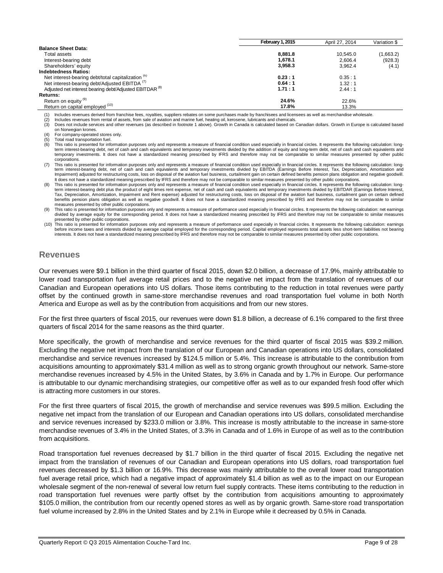|                                                                    | February 1, 2015 | April 27, 2014 | Variation \$ |
|--------------------------------------------------------------------|------------------|----------------|--------------|
| <b>Balance Sheet Data:</b>                                         |                  |                |              |
| Total assets                                                       | 8.881.8          | 10.545.0       | (1,663.2)    |
| Interest-bearing debt                                              | 1.678.1          | 2.606.4        | (928.3)      |
| Shareholders' equity                                               | 3,958.3          | 3.962.4        | (4.1)        |
| <b>Indebtedness Ratios:</b>                                        |                  |                |              |
| Net interest-bearing debt/total capitalization <sup>(6)</sup>      | 0.23:1           | 0.35:1         |              |
| Net interest-bearing debt/Adjusted EBITDA <sup>(7)</sup>           | 0.64:1           | 1.32:1         |              |
| Adjusted net interest bearing debt/Adjusted EBITDAR <sup>(8)</sup> | 1.71:1           | 2.44:1         |              |
| <b>Returns:</b>                                                    |                  |                |              |
| Return on equity <sup>(9)</sup>                                    | 24.6%            | 22.6%          |              |
| Return on capital employed (10)                                    | 17.8%            | 13.3%          |              |

(1) Includes revenues derived from franchise fees, royalties, suppliers rebates on some purchases made by franchisees and licensees as well as merchandise wholesale.<br>(2) Includes revenues from rental of assets, from sale o

Includes revenues from rental of assets, from sale of aviation and marine fuel, heating oil, kerosene, lubricants and chemicals.

(3) Does not include services and other revenues (as described in footnote 1 above). Growth in Canada is calculated based on Canadian dollars. Growth in Europe is calculated based on Norwegian krones.

(4) For company-operated stores only.

 $(5)$  Total road transportation fuel.<br> $(6)$  This ratio is presented for info

This ratio is presented for information purposes only and represents a measure of financial condition used especially in financial circles. It represents the following calculation: longterm interest-bearing debt, net of cash and cash equivalents and temporary investments divided by the addition of equity and long-term debt, net of cash and cash equivalents and temporary investments. It does not have a standardized meaning prescribed by IFRS and therefore may not be comparable to similar measures presented by other public corporations.

(7) This ratio is presented for information purposes only and represents a measure of financial condition used especially in financial circles. It represents the following calculation: longterm interest-bearing debt, net of cash and cash equivalents and temporary investments divided by EBITDA (Earnings Before Interest, Tax, Depreciation, Amortization and<br>Impairment) adjusted for restructuring costs, loss on It does not have a standardized meaning prescribed by IFRS and therefore may not be comparable to similar measures presented by other public corporations.

-8)) This ratio is presented for information purposes only and represents a measure of financial condition used especially in financial circles. It represents the following calculation: long-<br>term interest-bearing debt plu Tax, Depreciation, Amortization, Impairment and Rent expense) adjusted for restructuring costs, loss on disposal of the aviation fuel business, curtailment gain on certain defined benefits pension plans obligation as well as negative goodwill. It does not have a standardized meaning prescribed by IFRS and therefore may not be comparable to similar measures presented by other public corporations.

This ratio is presented for information purposes only and represents a measure of performance used especially in financial circles. It represents the following calculation: net earnings divided by average equity for the corresponding period. It does not have a standardized meaning prescribed by IFRS and therefore may not be comparable to similar measures presented by other public corporations.

(10) This ratio is presented for information purposes only and represents a measure of performance used especially in financial circles. It represents the following calculation: earnings before income taxes and interests divided by average capital employed for the corresponding period. Capital employed represents total assets less short-term liabilities not bearing interests. It does not have a standardized meaning prescribed by IFRS and therefore may not be comparable to similar measures presented by other public corporations.

### **Revenues**

Our revenues were \$9.1 billion in the third quarter of fiscal 2015, down \$2.0 billion, a decrease of 17.9%, mainly attributable to lower road transportation fuel average retail prices and to the negative net impact from the translation of revenues of our Canadian and European operations into US dollars. Those items contributing to the reduction in total revenues were partly offset by the continued growth in same-store merchandise revenues and road transportation fuel volume in both North America and Europe as well as by the contribution from acquisitions and from our new stores.

For the first three quarters of fiscal 2015, our revenues were down \$1.8 billion, a decrease of 6.1% compared to the first three quarters of fiscal 2014 for the same reasons as the third quarter.

More specifically, the growth of merchandise and service revenues for the third quarter of fiscal 2015 was \$39.2 million. Excluding the negative net impact from the translation of our European and Canadian operations into US dollars, consolidated merchandise and service revenues increased by \$124.5 million or 5.4%. This increase is attributable to the contribution from acquisitions amounting to approximately \$31.4 million as well as to strong organic growth throughout our network. Same-store merchandise revenues increased by 4.5% in the United States, by 3.6% in Canada and by 1.7% in Europe. Our performance is attributable to our dynamic merchandising strategies, our competitive offer as well as to our expanded fresh food offer which is attracting more customers in our stores.

For the first three quarters of fiscal 2015, the growth of merchandise and service revenues was \$99.5 million. Excluding the negative net impact from the translation of our European and Canadian operations into US dollars, consolidated merchandise and service revenues increased by \$233.0 million or 3.8%. This increase is mostly attributable to the increase in same-store merchandise revenues of 3.4% in the United States, of 3.3% in Canada and of 1.6% in Europe of as well as to the contribution from acquisitions.

Road transportation fuel revenues decreased by \$1.7 billion in the third quarter of fiscal 2015. Excluding the negative net impact from the translation of revenues of our Canadian and European operations into US dollars, road transportation fuel revenues decreased by \$1.3 billion or 16.9%. This decrease was mainly attributable to the overall lower road transportation fuel average retail price, which had a negative impact of approximately \$1.4 billion as well as to the impact on our European wholesale segment of the non-renewal of several low return fuel supply contracts. These items contributing to the reduction in road transportation fuel revenues were partly offset by the contribution from acquisitions amounting to approximately \$105.0 million, the contribution from our recently opened stores as well as by organic growth. Same-store road transportation fuel volume increased by 2.8% in the United States and by 2.1% in Europe while it decreased by 0.5% in Canada.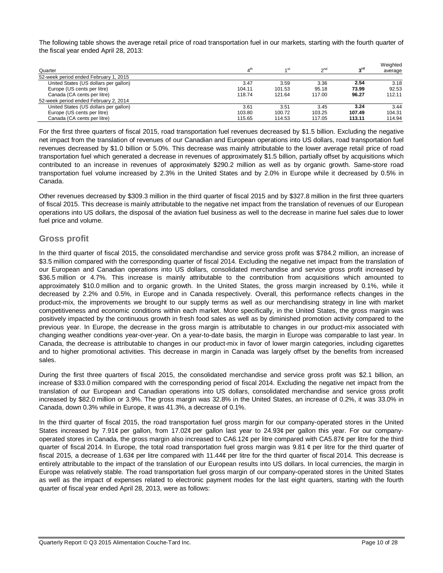The following table shows the average retail price of road transportation fuel in our markets, starting with the fourth quarter of the fiscal year ended April 28, 2013:

| Quarter                               | ⊿th    | st،    | $\alpha$ <sup>nd</sup> | "rd    | Weighted<br>average |
|---------------------------------------|--------|--------|------------------------|--------|---------------------|
| 52-week period ended February 1, 2015 |        |        |                        |        |                     |
| United States (US dollars per gallon) | 3.47   | 3.59   | 3.36                   | 2.54   | 3.18                |
| Europe (US cents per litre)           | 104.11 | 101.53 | 95.18                  | 73.99  | 92.53               |
| Canada (CA cents per litre)           | 118.74 | 121.64 | 117.00                 | 96.27  | 112.11              |
| 52-week period ended February 2, 2014 |        |        |                        |        |                     |
| United States (US dollars per gallon) | 3.61   | 3.51   | 3.45                   | 3.24   | 3.44                |
| Europe (US cents per litre)           | 103.80 | 100.72 | 103.25                 | 107.49 | 104.31              |
| Canada (CA cents per litre)           | 115.65 | 114.53 | 117.05                 | 113.11 | 114.94              |

For the first three quarters of fiscal 2015, road transportation fuel revenues decreased by \$1.5 billion. Excluding the negative net impact from the translation of revenues of our Canadian and European operations into US dollars, road transportation fuel revenues decreased by \$1.0 billion or 5.0%. This decrease was mainly attributable to the lower average retail price of road transportation fuel which generated a decrease in revenues of approximately \$1.5 billion, partially offset by acquisitions which contributed to an increase in revenues of approximately \$290.2 million as well as by organic growth. Same-store road transportation fuel volume increased by 2.3% in the United States and by 2.0% in Europe while it decreased by 0.5% in Canada.

Other revenues decreased by \$309.3 million in the third quarter of fiscal 2015 and by \$327.8 million in the first three quarters of fiscal 2015. This decrease is mainly attributable to the negative net impact from the translation of revenues of our European operations into US dollars, the disposal of the aviation fuel business as well to the decrease in marine fuel sales due to lower fuel price and volume.

# **Gross profit**

In the third quarter of fiscal 2015, the consolidated merchandise and service gross profit was \$784.2 million, an increase of \$3.5 million compared with the corresponding quarter of fiscal 2014. Excluding the negative net impact from the translation of our European and Canadian operations into US dollars, consolidated merchandise and service gross profit increased by \$36.5 million or 4.7%. This increase is mainly attributable to the contribution from acquisitions which amounted to approximately \$10.0 million and to organic growth. In the United States, the gross margin increased by 0.1%, while it decreased by 2.2% and 0.5%, in Europe and in Canada respectively. Overall, this performance reflects changes in the product-mix, the improvements we brought to our supply terms as well as our merchandising strategy in line with market competitiveness and economic conditions within each market. More specifically, in the United States, the gross margin was positively impacted by the continuous growth in fresh food sales as well as by diminished promotion activity compared to the previous year. In Europe, the decrease in the gross margin is attributable to changes in our product-mix associated with changing weather conditions year-over-year. On a year-to-date basis, the margin in Europe was comparable to last year. In Canada, the decrease is attributable to changes in our product-mix in favor of lower margin categories, including cigarettes and to higher promotional activities. This decrease in margin in Canada was largely offset by the benefits from increased sales.

During the first three quarters of fiscal 2015, the consolidated merchandise and service gross profit was \$2.1 billion, an increase of \$33.0 million compared with the corresponding period of fiscal 2014. Excluding the negative net impact from the translation of our European and Canadian operations into US dollars, consolidated merchandise and service gross profit increased by \$82.0 million or 3.9%. The gross margin was 32.8% in the United States, an increase of 0.2%, it was 33.0% in Canada, down 0.3% while in Europe, it was 41.3%, a decrease of 0.1%.

In the third quarter of fiscal 2015, the road transportation fuel gross margin for our company-operated stores in the United States increased by 7.91¢ per gallon, from 17.02¢ per gallon last year to 24.93¢ per gallon this year. For our companyoperated stores in Canada, the gross margin also increased to  $CAA12¢$  per litre compared with  $CAS.87¢$  per litre for the third quarter of fiscal 2014. In Europe, the total road transportation fuel gross margin was 9.81  $\epsilon$  per litre for the third quarter of fiscal 2015, a decrease of 1.63¢ per litre compared with 11.44¢ per litre for the third quarter of fiscal 2014. This decrease is entirely attributable to the impact of the translation of our European results into US dollars. In local currencies, the margin in Europe was relatively stable. The road transportation fuel gross margin of our company-operated stores in the United States as well as the impact of expenses related to electronic payment modes for the last eight quarters, starting with the fourth quarter of fiscal year ended April 28, 2013, were as follows: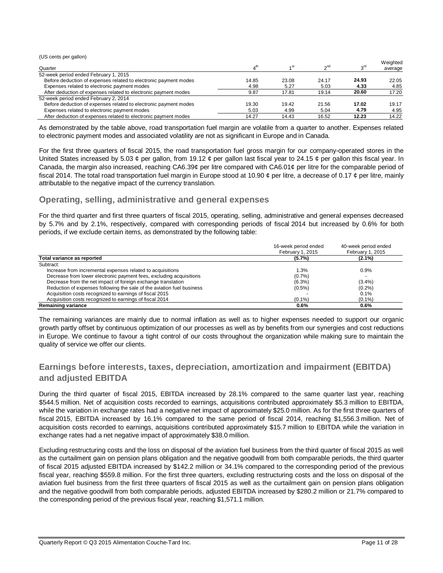(US cents per gallon)

| Quarter                                                          |       | ⊿ st  | $\sim$ <sup>nd</sup> | <sub>o</sub> rd | Weighted<br>average |
|------------------------------------------------------------------|-------|-------|----------------------|-----------------|---------------------|
| 52-week period ended February 1, 2015                            |       |       |                      |                 |                     |
| Before deduction of expenses related to electronic payment modes | 14.85 | 23.08 | 24.17                | 24.93           | 22.05               |
| Expenses related to electronic payment modes                     | 4.98  | 5.27  | 5.03                 | 4.33            | 4.85                |
| After deduction of expenses related to electronic payment modes  | 9.87  | 17.81 | 19.14                | 20.60           | 17.20               |
| 52-week period ended February 2, 2014                            |       |       |                      |                 |                     |
| Before deduction of expenses related to electronic payment modes | 19.30 | 19.42 | 21.56                | 17.02           | 19.17               |
| Expenses related to electronic payment modes                     | 5.03  | 4.99  | 5.04                 | 4.79            | 4.95                |
| After deduction of expenses related to electronic payment modes  | 14.27 | 14.43 | 16.52                | 12.23           | 14.22               |

As demonstrated by the table above, road transportation fuel margin are volatile from a quarter to another. Expenses related to electronic payment modes and associated volatility are not as significant in Europe and in Canada.

For the first three quarters of fiscal 2015, the road transportation fuel gross margin for our company-operated stores in the United States increased by 5.03  $\phi$  per gallon, from 19.12  $\phi$  per gallon last fiscal year to 24.15  $\phi$  per gallon this fiscal year. In Canada, the margin also increased, reaching CA6.39¢ per litre compared with CA6.01¢ per litre for the comparable period of fiscal 2014. The total road transportation fuel margin in Europe stood at 10.90  $\phi$  per litre, a decrease of 0.17  $\phi$  per litre, mainly attributable to the negative impact of the currency translation.

# **Operating, selling, administrative and general expenses**

For the third quarter and first three quarters of fiscal 2015, operating, selling, administrative and general expenses decreased by 5.7% and by 2.1%, respectively, compared with corresponding periods of fiscal 2014 but increased by 0.6% for both periods, if we exclude certain items, as demonstrated by the following table:

|                                                                        | 16-week period ended<br>February 1, 2015 | 40-week period ended<br>February 1, 2015 |
|------------------------------------------------------------------------|------------------------------------------|------------------------------------------|
| Total variance as reported                                             | $(5.7\%)$                                | $(2.1\%)$                                |
| Subtract:                                                              |                                          |                                          |
| Increase from incremental expenses related to acquisitions             | 1.3%                                     | 0.9%                                     |
| Decrease from lower electronic payment fees, excluding acquisitions    | (0.7%                                    |                                          |
| Decrease from the net impact of foreign exchange translation           | $(6.3\%)$                                | $(3.4\%)$                                |
| Reduction of expenses following the sale of the aviation fuel business | $(0.5\%)$                                | (0.2%                                    |
| Acquisition costs recognized to earnings of fiscal 2015                |                                          | 0.1%                                     |
| Acquisition costs recognized to earnings of fiscal 2014                | $(0.1\%)$                                | $(0.1\%)$                                |
| <b>Remaining variance</b>                                              | 0.6%                                     | 0.6%                                     |

The remaining variances are mainly due to normal inflation as well as to higher expenses needed to support our organic growth partly offset by continuous optimization of our processes as well as by benefits from our synergies and cost reductions in Europe. We continue to favour a tight control of our costs throughout the organization while making sure to maintain the quality of service we offer our clients.

# **Earnings before interests, taxes, depreciation, amortization and impairment (EBITDA) and adjusted EBITDA**

During the third quarter of fiscal 2015, EBITDA increased by 28.1% compared to the same quarter last year, reaching \$544.5 million. Net of acquisition costs recorded to earnings, acquisitions contributed approximately \$5.3 million to EBITDA, while the variation in exchange rates had a negative net impact of approximately \$25.0 million. As for the first three quarters of fiscal 2015, EBITDA increased by 16.1% compared to the same period of fiscal 2014, reaching \$1,556.3 million. Net of acquisition costs recorded to earnings, acquisitions contributed approximately \$15.7 million to EBITDA while the variation in exchange rates had a net negative impact of approximately \$38.0 million.

Excluding restructuring costs and the loss on disposal of the aviation fuel business from the third quarter of fiscal 2015 as well as the curtailment gain on pension plans obligation and the negative goodwill from both comparable periods, the third quarter of fiscal 2015 adjusted EBITDA increased by \$142.2 million or 34.1% compared to the corresponding period of the previous fiscal year, reaching \$559.8 million. For the first three quarters, excluding restructuring costs and the loss on disposal of the aviation fuel business from the first three quarters of fiscal 2015 as well as the curtailment gain on pension plans obligation and the negative goodwill from both comparable periods, adjusted EBITDA increased by \$280.2 million or 21.7% compared to the corresponding period of the previous fiscal year, reaching \$1,571.1 million.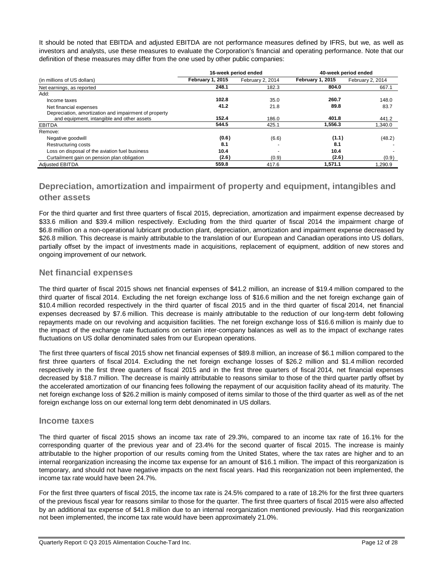It should be noted that EBITDA and adjusted EBITDA are not performance measures defined by IFRS, but we, as well as investors and analysts, use these measures to evaluate the Corporation's financial and operating performance. Note that our definition of these measures may differ from the one used by other public companies:

|                                                       |                  | 16-week period ended | 40-week period ended    |                  |  |
|-------------------------------------------------------|------------------|----------------------|-------------------------|------------------|--|
| (in millions of US dollars)                           | February 1, 2015 | February 2, 2014     | <b>February 1, 2015</b> | February 2, 2014 |  |
| Net earnings, as reported                             | 248.1            | 182.3                | 804.0                   | 667.1            |  |
| Add:                                                  |                  |                      |                         |                  |  |
| Income taxes                                          | 102.8            | 35.0                 | 260.7                   | 148.0            |  |
| Net financial expenses                                | 41.2             | 21.8                 | 89.8                    | 83.7             |  |
| Depreciation, amortization and impairment of property |                  |                      |                         |                  |  |
| and equipment, intangible and other assets            | 152.4            | 186.0                | 401.8                   | 441.2            |  |
| <b>EBITDA</b>                                         | 544.5            | 425.1                | 1,556.3                 | 1,340.0          |  |
| Remove:                                               |                  |                      |                         |                  |  |
| Negative goodwill                                     | (0.6)            | (6.6)                | (1.1)                   | (48.2)           |  |
| Restructuring costs                                   | 8.1              |                      | 8.1                     |                  |  |
| Loss on disposal of the aviation fuel business        | 10.4             |                      | 10.4                    |                  |  |
| Curtailment gain on pension plan obligation           | (2.6)            | (0.9)                | (2.6)                   | (0.9)            |  |
| <b>Adiusted EBITDA</b>                                | 559.8            | 417.6                | 1.571.1                 | 1.290.9          |  |

# **Depreciation, amortization and impairment of property and equipment, intangibles and other assets**

For the third quarter and first three quarters of fiscal 2015, depreciation, amortization and impairment expense decreased by \$33.6 million and \$39.4 million respectively. Excluding from the third quarter of fiscal 2014 the impairment charge of \$6.8 million on a non-operational lubricant production plant, depreciation, amortization and impairment expense decreased by \$26.8 million. This decrease is mainly attributable to the translation of our European and Canadian operations into US dollars, partially offset by the impact of investments made in acquisitions, replacement of equipment, addition of new stores and ongoing improvement of our network.

# **Net financial expenses**

The third quarter of fiscal 2015 shows net financial expenses of \$41.2 million, an increase of \$19.4 million compared to the third quarter of fiscal 2014. Excluding the net foreign exchange loss of \$16.6 million and the net foreign exchange gain of \$10.4 million recorded respectively in the third quarter of fiscal 2015 and in the third quarter of fiscal 2014, net financial expenses decreased by \$7.6 million. This decrease is mainly attributable to the reduction of our long-term debt following repayments made on our revolving and acquisition facilities. The net foreign exchange loss of \$16.6 million is mainly due to the impact of the exchange rate fluctuations on certain inter-company balances as well as to the impact of exchange rates fluctuations on US dollar denominated sales from our European operations.

The first three quarters of fiscal 2015 show net financial expenses of \$89.8 million, an increase of \$6.1 million compared to the first three quarters of fiscal 2014. Excluding the net foreign exchange losses of \$26.2 million and \$1.4 million recorded respectively in the first three quarters of fiscal 2015 and in the first three quarters of fiscal 2014, net financial expenses decreased by \$18.7 million. The decrease is mainly attributable to reasons similar to those of the third quarter partly offset by the accelerated amortization of our financing fees following the repayment of our acquisition facility ahead of its maturity. The net foreign exchange loss of \$26.2 million is mainly composed of items similar to those of the third quarter as well as of the net foreign exchange loss on our external long term debt denominated in US dollars.

# **Income taxes**

The third quarter of fiscal 2015 shows an income tax rate of 29.3%, compared to an income tax rate of 16.1% for the corresponding quarter of the previous year and of 23.4% for the second quarter of fiscal 2015. The increase is mainly attributable to the higher proportion of our results coming from the United States, where the tax rates are higher and to an internal reorganization increasing the income tax expense for an amount of \$16.1 million. The impact of this reorganization is temporary, and should not have negative impacts on the next fiscal years. Had this reorganization not been implemented, the income tax rate would have been 24.7%.

For the first three quarters of fiscal 2015, the income tax rate is 24.5% compared to a rate of 18.2% for the first three quarters of the previous fiscal year for reasons similar to those for the quarter. The first three quarters of fiscal 2015 were also affected by an additional tax expense of \$41.8 million due to an internal reorganization mentioned previously. Had this reorganization not been implemented, the income tax rate would have been approximately 21.0%.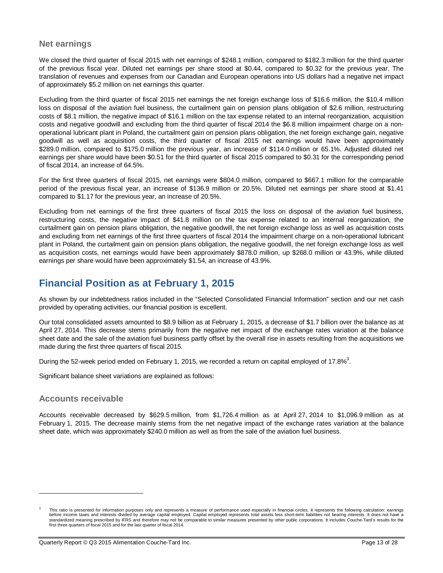# **Net earnings**

We closed the third quarter of fiscal 2015 with net earnings of \$248.1 million, compared to \$182.3 million for the third quarter of the previous fiscal year. Diluted net earnings per share stood at \$0.44, compared to \$0.32 for the previous year. The translation of revenues and expenses from our Canadian and European operations into US dollars had a negative net impact of approximately \$5.2 million on net earnings this quarter.

Excluding from the third quarter of fiscal 2015 net earnings the net foreign exchange loss of \$16.6 million, the \$10.4 million loss on disposal of the aviation fuel business, the curtailment gain on pension plans obligation of \$2.6 million, restructuring costs of \$8.1 million, the negative impact of \$16.1 million on the tax expense related to an internal reorganization, acquisition costs and negative goodwill and excluding from the third quarter of fiscal 2014 the \$6.8 million impairment charge on a nonoperational lubricant plant in Poland, the curtailment gain on pension plans obligation, the net foreign exchange gain, negative goodwill as well as acquisition costs, the third quarter of fiscal 2015 net earnings would have been approximately \$289.0 million, compared to \$175.0 million the previous year, an increase of \$114.0 million or 65.1%. Adjusted diluted net earnings per share would have been \$0.51 for the third quarter of fiscal 2015 compared to \$0.31 for the corresponding period of fiscal 2014, an increase of 64.5%.

For the first three quarters of fiscal 2015, net earnings were \$804.0 million, compared to \$667.1 million for the comparable period of the previous fiscal year, an increase of \$136.9 million or 20.5%. Diluted net earnings per share stood at \$1.41 compared to \$1.17 for the previous year, an increase of 20.5%.

Excluding from net earnings of the first three quarters of fiscal 2015 the loss on disposal of the aviation fuel business, restructuring costs, the negative impact of \$41.8 million on the tax expense related to an internal reorganization, the curtailment gain on pension plans obligation, the negative goodwill, the net foreign exchange loss as well as acquisition costs and excluding from net earnings of the first three quarters of fiscal 2014 the impairment charge on a non-operational lubricant plant in Poland, the curtailment gain on pension plans obligation, the negative goodwill, the net foreign exchange loss as well as acquisition costs, net earnings would have been approximately \$878.0 million, up \$268.0 million or 43.9%, while diluted earnings per share would have been approximately \$1.54, an increase of 43.9%.

# **Financial Position as at February 1, 2015**

As shown by our indebtedness ratios included in the "Selected Consolidated Financial Information" section and our net cash provided by operating activities, our financial position is excellent.

Our total consolidated assets amounted to \$8.9 billion as at February 1, 2015, a decrease of \$1.7 billion over the balance as at April 27, 2014. This decrease stems primarily from the negative net impact of the exchange rates variation at the balance sheet date and the sale of the aviation fuel business partly offset by the overall rise in assets resulting from the acquisitions we made during the first three quarters of fiscal 2015.

During the 52-week period ended on February 1, 2015, we recorded a return on capital employed of 17.8%<sup>3</sup>.

Significant balance sheet variations are explained as follows:

# **Accounts receivable**

 $\overline{a}$ 

Accounts receivable decreased by \$629.5 million, from \$1,726.4 million as at April 27, 2014 to \$1,096.9 million as at February 1, 2015. The decrease mainly stems from the net negative impact of the exchange rates variation at the balance sheet date, which was approximately \$240.0 million as well as from the sale of the aviation fuel business.

<sup>3</sup> This ratio is presented for information purposes only and represents a measure of performance used especially in financial circles. It represents the following calculation: earnings before income taxes and interests divided by average capital employed. Capital employed represents total assets less short-term liabilities not bearing interests. It does not have a standardized meaning prescribed by IFRS and therefore may not be comparable to similar measures presented by other public corporations. It includes Couche-Tard's results for the first three quarters of fiscal 2015 and for the last quarter of fiscal 2014.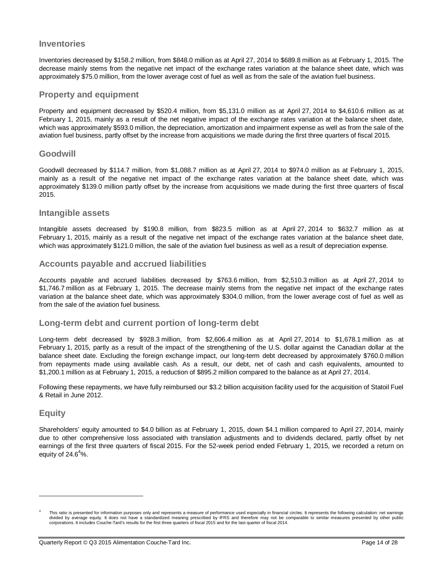# **Inventories**

Inventories decreased by \$158.2 million, from \$848.0 million as at April 27, 2014 to \$689.8 million as at February 1, 2015. The decrease mainly stems from the negative net impact of the exchange rates variation at the balance sheet date, which was approximately \$75.0 million, from the lower average cost of fuel as well as from the sale of the aviation fuel business.

### **Property and equipment**

Property and equipment decreased by \$520.4 million, from \$5,131.0 million as at April 27, 2014 to \$4,610.6 million as at February 1, 2015, mainly as a result of the net negative impact of the exchange rates variation at the balance sheet date, which was approximately \$593.0 million, the depreciation, amortization and impairment expense as well as from the sale of the aviation fuel business, partly offset by the increase from acquisitions we made during the first three quarters of fiscal 2015.

### **Goodwill**

Goodwill decreased by \$114.7 million, from \$1,088.7 million as at April 27, 2014 to \$974.0 million as at February 1, 2015, mainly as a result of the negative net impact of the exchange rates variation at the balance sheet date, which was approximately \$139.0 million partly offset by the increase from acquisitions we made during the first three quarters of fiscal 2015.

### **Intangible assets**

Intangible assets decreased by \$190.8 million, from \$823.5 million as at April 27, 2014 to \$632.7 million as at February 1, 2015, mainly as a result of the negative net impact of the exchange rates variation at the balance sheet date, which was approximately \$121.0 million, the sale of the aviation fuel business as well as a result of depreciation expense.

### **Accounts payable and accrued liabilities**

Accounts payable and accrued liabilities decreased by \$763.6 million, from \$2,510.3 million as at April 27, 2014 to \$1,746.7 million as at February 1, 2015. The decrease mainly stems from the negative net impact of the exchange rates variation at the balance sheet date, which was approximately \$304.0 million, from the lower average cost of fuel as well as from the sale of the aviation fuel business.

### **Long-term debt and current portion of long-term debt**

Long-term debt decreased by \$928.3 million, from \$2,606.4 million as at April 27, 2014 to \$1,678.1 million as at February 1, 2015, partly as a result of the impact of the strengthening of the U.S. dollar against the Canadian dollar at the balance sheet date. Excluding the foreign exchange impact, our long-term debt decreased by approximately \$760.0 million from repayments made using available cash. As a result, our debt, net of cash and cash equivalents, amounted to \$1,200.1 million as at February 1, 2015, a reduction of \$895.2 million compared to the balance as at April 27, 2014.

Following these repayments, we have fully reimbursed our \$3.2 billion acquisition facility used for the acquisition of Statoil Fuel & Retail in June 2012.

# **Equity**

 $\overline{a}$ 

Shareholders' equity amounted to \$4.0 billion as at February 1, 2015, down \$4.1 million compared to April 27, 2014, mainly due to other comprehensive loss associated with translation adjustments and to dividends declared, partly offset by net earnings of the first three quarters of fiscal 2015. For the 52-week period ended February 1, 2015, we recorded a return on equity of  $24.6^4\%$ .

<sup>4</sup> This ratio is presented for information purposes only and represents a measure of performance used especially in financial circles. It represents the following calculation: net earnings divided by average equity. It does not have a standardized meaning prescribed by IFRS and therefore may not be comparable to similar measures presented by other public corporations. It includes Couche-Tard's results for the first three quarters of fiscal 2015 and for the last quarter of fiscal 2014.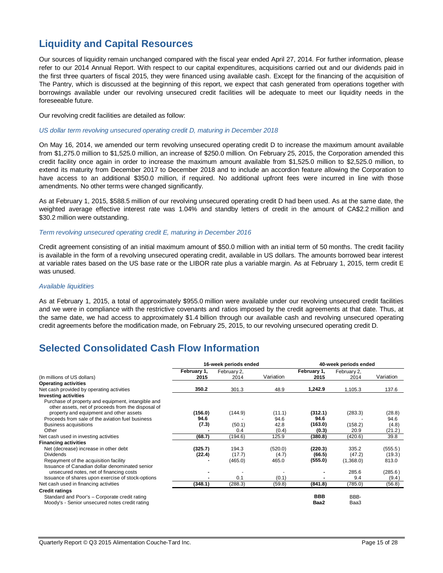# **Liquidity and Capital Resources**

Our sources of liquidity remain unchanged compared with the fiscal year ended April 27, 2014. For further information, please refer to our 2014 Annual Report. With respect to our capital expenditures, acquisitions carried out and our dividends paid in the first three quarters of fiscal 2015, they were financed using available cash. Except for the financing of the acquisition of The Pantry, which is discussed at the beginning of this report, we expect that cash generated from operations together with borrowings available under our revolving unsecured credit facilities will be adequate to meet our liquidity needs in the foreseeable future.

Our revolving credit facilities are detailed as follow:

#### *US dollar term revolving unsecured operating credit D, maturing in December 2018*

On May 16, 2014, we amended our term revolving unsecured operating credit D to increase the maximum amount available from \$1,275.0 million to \$1,525.0 million, an increase of \$250.0 million. On February 25, 2015, the Corporation amended this credit facility once again in order to increase the maximum amount available from \$1,525.0 million to \$2,525.0 million, to extend its maturity from December 2017 to December 2018 and to include an accordion feature allowing the Corporation to have access to an additional \$350.0 million, if required. No additional upfront fees were incurred in line with those amendments. No other terms were changed significantly.

As at February 1, 2015, \$588.5 million of our revolving unsecured operating credit D had been used. As at the same date, the weighted average effective interest rate was 1.04% and standby letters of credit in the amount of CA\$2.2 million and \$30.2 million were outstanding.

### *Term revolving unsecured operating credit E, maturing in December 2016*

Credit agreement consisting of an initial maximum amount of \$50.0 million with an initial term of 50 months. The credit facility is available in the form of a revolving unsecured operating credit, available in US dollars. The amounts borrowed bear interest at variable rates based on the US base rate or the LIBOR rate plus a variable margin. As at February 1, 2015, term credit E was unused.

#### *Available liquidities*

As at February 1, 2015, a total of approximately \$955.0 million were available under our revolving unsecured credit facilities and we were in compliance with the restrictive covenants and ratios imposed by the credit agreements at that date. Thus, at the same date, we had access to approximately \$1.4 billion through our available cash and revolving unsecured operating credit agreements before the modification made, on February 25, 2015, to our revolving unsecured operating credit D.

# **Selected Consolidated Cash Flow Information**

|                                                                                                          | 16-week periods ended |                     |           |                     | 40-week periods ended |           |  |
|----------------------------------------------------------------------------------------------------------|-----------------------|---------------------|-----------|---------------------|-----------------------|-----------|--|
| (In millions of US dollars)                                                                              | February 1,<br>2015   | February 2,<br>2014 | Variation | February 1,<br>2015 | February 2,<br>2014   | Variation |  |
| <b>Operating activities</b>                                                                              |                       |                     |           |                     |                       |           |  |
| Net cash provided by operating activities                                                                | 350.2                 | 301.3               | 48.9      | 1,242.9             | 1,105.3               | 137.6     |  |
| <b>Investing activities</b>                                                                              |                       |                     |           |                     |                       |           |  |
| Purchase of property and equipment, intangible and<br>other assets, net of proceeds from the disposal of |                       |                     |           |                     |                       |           |  |
| property and equipment and other assets                                                                  | (156.0)               | (144.9)             | (11.1)    | (312.1)             | (283.3)               | (28.8)    |  |
| Proceeds from sale of the aviation fuel business                                                         | 94.6                  |                     | 94.6      | 94.6                |                       | 94.6      |  |
| Business acquisitions                                                                                    | (7.3)                 | (50.1)              | 42.8      | (163.0)             | (158.2)               | (4.8)     |  |
| Other                                                                                                    |                       | 0.4                 | (0.4)     | (0.3)               | 20.9                  | (21.2)    |  |
| Net cash used in investing activities                                                                    | (68.7)                | (194.6)             | 125.9     | (380.8)             | (420.6)               | 39.8      |  |
| <b>Financing activities</b>                                                                              |                       |                     |           |                     |                       |           |  |
| Net (decrease) increase in other debt                                                                    | (325.7)               | 194.3               | (520.0)   | (220.3)             | 335.2                 | (555.5)   |  |
| <b>Dividends</b>                                                                                         | (22.4)                | (17.7)              | (4.7)     | (66.5)              | (47.2)                | (19.3)    |  |
| Repayment of the acquisition facility<br>Issuance of Canadian dollar denominated senior                  |                       | (465.0)             | 465.0     | (555.0)             | (1,368.0)             | 813.0     |  |
| unsecured notes, net of financing costs                                                                  |                       |                     |           |                     | 285.6                 | (285.6)   |  |
| Issuance of shares upon exercise of stock-options                                                        |                       | 0.1                 | (0.1)     |                     | 9.4                   | (9.4)     |  |
| Net cash used in financing activities                                                                    | (348.1)               | (288.3)             | (59.8)    | (841.8)             | (785.0)               | (56.8)    |  |
| <b>Credit ratings</b>                                                                                    |                       |                     |           |                     |                       |           |  |
| Standard and Poor's - Corporate credit rating<br>Moody's - Senior unsecured notes credit rating          |                       |                     |           | <b>BBB</b><br>Baa2  | BBB-<br>Baa3          |           |  |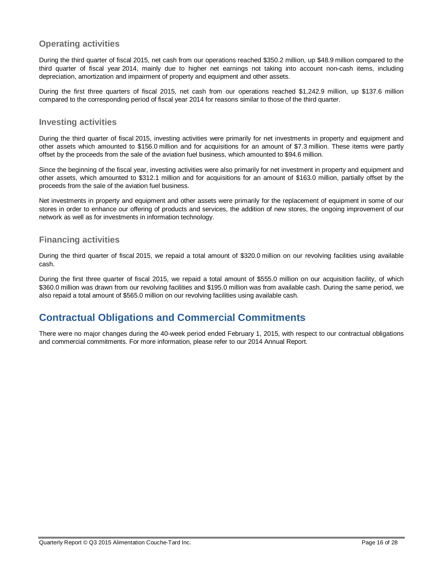# **Operating activities**

During the third quarter of fiscal 2015, net cash from our operations reached \$350.2 million, up \$48.9 million compared to the third quarter of fiscal year 2014, mainly due to higher net earnings not taking into account non-cash items, including depreciation, amortization and impairment of property and equipment and other assets.

During the first three quarters of fiscal 2015, net cash from our operations reached \$1,242.9 million, up \$137.6 million compared to the corresponding period of fiscal year 2014 for reasons similar to those of the third quarter.

# **Investing activities**

During the third quarter of fiscal 2015, investing activities were primarily for net investments in property and equipment and other assets which amounted to \$156.0 million and for acquisitions for an amount of \$7.3 million. These items were partly offset by the proceeds from the sale of the aviation fuel business, which amounted to \$94.6 million.

Since the beginning of the fiscal year, investing activities were also primarily for net investment in property and equipment and other assets, which amounted to \$312.1 million and for acquisitions for an amount of \$163.0 million, partially offset by the proceeds from the sale of the aviation fuel business.

Net investments in property and equipment and other assets were primarily for the replacement of equipment in some of our stores in order to enhance our offering of products and services, the addition of new stores, the ongoing improvement of our network as well as for investments in information technology.

# **Financing activities**

During the third quarter of fiscal 2015, we repaid a total amount of \$320.0 million on our revolving facilities using available cash.

During the first three quarter of fiscal 2015, we repaid a total amount of \$555.0 million on our acquisition facility, of which \$360.0 million was drawn from our revolving facilities and \$195.0 million was from available cash. During the same period, we also repaid a total amount of \$565.0 million on our revolving facilities using available cash.

# **Contractual Obligations and Commercial Commitments**

There were no major changes during the 40-week period ended February 1, 2015, with respect to our contractual obligations and commercial commitments. For more information, please refer to our 2014 Annual Report.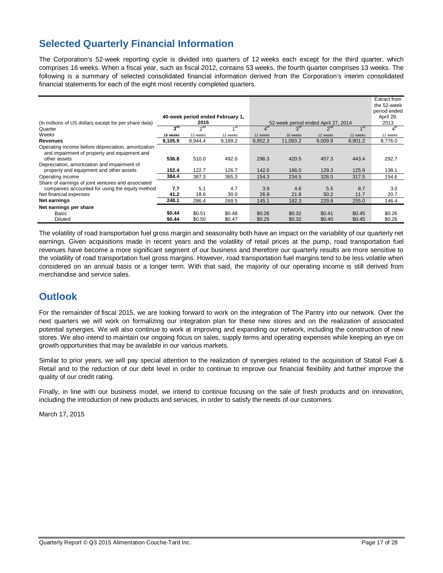# **Selected Quarterly Financial Information**

The Corporation's 52-week reporting cycle is divided into quarters of 12 weeks each except for the third quarter, which comprises 16 weeks. When a fiscal year, such as fiscal 2012, contains 53 weeks, the fourth quarter comprises 13 weeks. The following is a summary of selected consolidated financial information derived from the Corporation's interim consolidated financial statements for each of the eight most recently completed quarters.

|                                                                                                                    |                 |                 | 40-week period ended February 1, |          |                                     |          |                 | Extract from<br>the 52-week<br>period ended<br>April 28, |
|--------------------------------------------------------------------------------------------------------------------|-----------------|-----------------|----------------------------------|----------|-------------------------------------|----------|-----------------|----------------------------------------------------------|
| (In millions of US dollars except for per share data)                                                              |                 | 2015            |                                  |          | 52-week period ended April 27, 2014 |          |                 | 2013                                                     |
| Quarter                                                                                                            | $3^{\text{rd}}$ | 2 <sup>nd</sup> | $A$ st                           |          | 3 <sup>rd</sup>                     | $2^{nd}$ | 1 <sup>st</sup> | 4 <sup>m</sup>                                           |
| Weeks                                                                                                              | 16 weeks        | 12 weeks        | 12 weeks                         | 12 weeks | 16 weeks                            | 12 weeks | 12 weeks        | 12 weeks                                                 |
| Revenues                                                                                                           | 9,105.9         | 8,944.4         | 9,189.2                          | 8,952.3  | 11,093.2                            | 9,009.9  | 8,901.2         | 8,776.0                                                  |
| Operating income before depreciation, amortization<br>and impairment of property and equipment and<br>other assets | 536.8           | 510.0           | 492.0                            | 296.3    | 420.5                               | 457.3    | 443.4           | 292.7                                                    |
| Depreciation, amortization and impairment of                                                                       |                 |                 |                                  |          |                                     |          |                 |                                                          |
| property and equipment and other assets                                                                            | 152.4           | 122.7           | 126.7                            | 142.0    | 186.0                               | 129.3    | 125.9           | 138.1                                                    |
| Operating income                                                                                                   | 384.4           | 387.3           | 365.3                            | 154.3    | 234.5                               | 328.0    | 317.5           | 154.6                                                    |
| Share of earnings of joint ventures and associated                                                                 |                 |                 |                                  |          |                                     |          |                 |                                                          |
| companies accounted for using the equity method                                                                    | 7.7             | 5.1             | 4.7                              | 3.9      | 4.6                                 | 5.5      | 8.7             | 3.0                                                      |
| Net financial expenses                                                                                             | 41.2            | 18.6            | 30.0                             | 26.9     | 21.8                                | 50.2     | 11.7            | 20.7                                                     |
| Net earnings                                                                                                       | 248.1           | 286.4           | 269.5                            | 145.1    | 182.3                               | 229.8    | 255.0           | 146.4                                                    |
| Net earnings per share                                                                                             |                 |                 |                                  |          |                                     |          |                 |                                                          |
| Basic                                                                                                              | \$0.44          | \$0.51          | \$0.48                           | \$0.26   | \$0.32                              | \$0.41   | \$0.45          | \$0.26                                                   |
| <b>Diluted</b>                                                                                                     | \$0.44          | \$0.50          | \$0.47                           | \$0.25   | \$0.32                              | \$0.40   | \$0.45          | \$0.26                                                   |

The volatility of road transportation fuel gross margin and seasonality both have an impact on the variability of our quarterly net earnings. Given acquisitions made in recent years and the volatility of retail prices at the pump, road transportation fuel revenues have become a more significant segment of our business and therefore our quarterly results are more sensitive to the volatility of road transportation fuel gross margins. However, road transportation fuel margins tend to be less volatile when considered on an annual basis or a longer term. With that said, the majority of our operating income is still derived from merchandise and service sales.

# **Outlook**

For the remainder of fiscal 2015, we are looking forward to work on the integration of The Pantry into our network. Over the next quarters we will work on formalizing our integration plan for these new stores and on the realization of associated potential synergies. We will also continue to work at improving and expanding our network, including the construction of new stores. We also intend to maintain our ongoing focus on sales, supply terms and operating expenses while keeping an eye on growth opportunities that may be available in our various markets.

Similar to prior years, we will pay special attention to the realization of synergies related to the acquisition of Statoil Fuel & Retail and to the reduction of our debt level in order to continue to improve our financial flexibility and further improve the quality of our credit rating.

Finally, in line with our business model, we intend to continue focusing on the sale of fresh products and on innovation, including the introduction of new products and services, in order to satisfy the needs of our customers.

March 17, 2015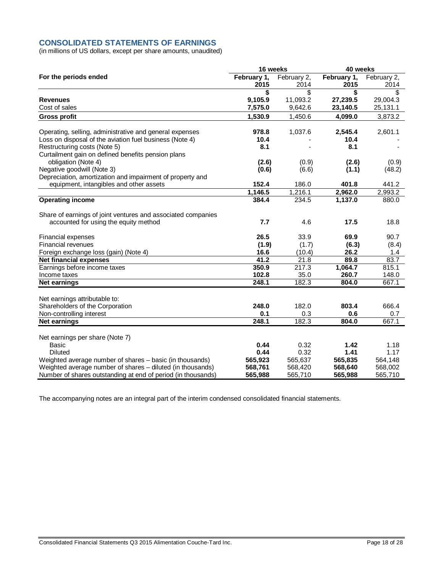# **CONSOLIDATED STATEMENTS OF EARNINGS**

(in millions of US dollars, except per share amounts, unaudited)

|                                                              | 16 weeks    |             | 40 weeks    |             |  |
|--------------------------------------------------------------|-------------|-------------|-------------|-------------|--|
| For the periods ended                                        | February 1, | February 2, | February 1, | February 2, |  |
|                                                              | 2015        | 2014        | 2015        | 2014        |  |
|                                                              | \$          | \$          | \$          | \$          |  |
| <b>Revenues</b>                                              | 9,105.9     | 11,093.2    | 27,239.5    | 29,004.3    |  |
| Cost of sales                                                | 7,575.0     | 9,642.6     | 23,140.5    | 25,131.1    |  |
| <b>Gross profit</b>                                          | 1,530.9     | 1,450.6     | 4,099.0     | 3,873.2     |  |
| Operating, selling, administrative and general expenses      | 978.8       | 1,037.6     | 2,545.4     | 2,601.1     |  |
| Loss on disposal of the aviation fuel business (Note 4)      | 10.4        |             | 10.4        |             |  |
| Restructuring costs (Note 5)                                 | 8.1         |             | 8.1         |             |  |
| Curtailment gain on defined benefits pension plans           |             |             |             |             |  |
| obligation (Note 4)                                          | (2.6)       | (0.9)       | (2.6)       | (0.9)       |  |
| Negative goodwill (Note 3)                                   | (0.6)       | (6.6)       | (1.1)       | (48.2)      |  |
| Depreciation, amortization and impairment of property and    |             |             |             |             |  |
| equipment, intangibles and other assets                      | 152.4       | 186.0       | 401.8       | 441.2       |  |
|                                                              | 1,146.5     | 1,216.1     | 2,962.0     | 2,993.2     |  |
| <b>Operating income</b>                                      | 384.4       | 234.5       | 1,137.0     | 880.0       |  |
| Share of earnings of joint ventures and associated companies |             |             |             |             |  |
| accounted for using the equity method                        | 7.7         | 4.6         | 17.5        | 18.8        |  |
| Financial expenses                                           | 26.5        | 33.9        | 69.9        | 90.7        |  |
| Financial revenues                                           | (1.9)       | (1.7)       | (6.3)       | (8.4)       |  |
| Foreign exchange loss (gain) (Note 4)                        | 16.6        | (10.4)      | 26.2        | 1.4         |  |
| <b>Net financial expenses</b>                                | 41.2        | 21.8        | 89.8        | 83.7        |  |
| Earnings before income taxes                                 | 350.9       | 217.3       | 1,064.7     | 815.1       |  |
| Income taxes                                                 | 102.8       | 35.0        | 260.7       | 148.0       |  |
| <b>Net earnings</b>                                          | 248.1       | 182.3       | 804.0       | 667.1       |  |
| Net earnings attributable to:                                |             |             |             |             |  |
| Shareholders of the Corporation                              | 248.0       | 182.0       | 803.4       | 666.4       |  |
| Non-controlling interest                                     | 0.1         | 0.3         | 0.6         | 0.7         |  |
| <b>Net earnings</b>                                          | 248.1       | 182.3       | 804.0       | 667.1       |  |
| Net earnings per share (Note 7)                              |             |             |             |             |  |
| <b>Basic</b>                                                 | 0.44        | 0.32        | 1.42        | 1.18        |  |
| <b>Diluted</b>                                               | 0.44        | 0.32        | 1.41        | 1.17        |  |
| Weighted average number of shares - basic (in thousands)     | 565,923     | 565,637     | 565,835     | 564,148     |  |
| Weighted average number of shares - diluted (in thousands)   | 568,761     | 568,420     | 568,640     | 568,002     |  |
| Number of shares outstanding at end of period (in thousands) | 565,988     | 565,710     | 565,988     | 565,710     |  |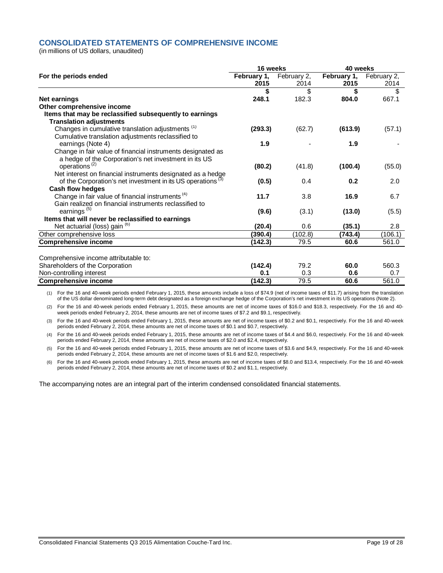### **CONSOLIDATED STATEMENTS OF COMPREHENSIVE INCOME**

(in millions of US dollars, unaudited)

|                                                                         | 16 weeks    |             | 40 weeks    |             |  |
|-------------------------------------------------------------------------|-------------|-------------|-------------|-------------|--|
| For the periods ended                                                   | February 1, | February 2, | February 1, | February 2, |  |
|                                                                         | 2015        | 2014        | 2015        | 2014        |  |
|                                                                         | \$          | \$          | \$          | \$          |  |
| <b>Net earnings</b>                                                     | 248.1       | 182.3       | 804.0       | 667.1       |  |
| Other comprehensive income                                              |             |             |             |             |  |
| Items that may be reclassified subsequently to earnings                 |             |             |             |             |  |
| <b>Translation adjustments</b>                                          |             |             |             |             |  |
| Changes in cumulative translation adjustments <sup>(1)</sup>            | (293.3)     | (62.7)      | (613.9)     | (57.1)      |  |
| Cumulative translation adjustments reclassified to                      |             |             |             |             |  |
| earnings (Note 4)                                                       | 1.9         |             | 1.9         |             |  |
| Change in fair value of financial instruments designated as             |             |             |             |             |  |
| a hedge of the Corporation's net investment in its US                   |             |             |             |             |  |
| operations <sup>(2)</sup>                                               | (80.2)      | (41.8)      | (100.4)     | (55.0)      |  |
| Net interest on financial instruments designated as a hedge             |             |             |             |             |  |
| of the Corporation's net investment in its US operations <sup>(3)</sup> | (0.5)       | 0.4         | 0.2         | 2.0         |  |
| Cash flow hedges                                                        |             |             |             |             |  |
| Change in fair value of financial instruments <sup>(4)</sup>            | 11.7        | 3.8         | 16.9        | 6.7         |  |
| Gain realized on financial instruments reclassified to                  |             |             |             |             |  |
| earnings <sup>(5)</sup>                                                 | (9.6)       | (3.1)       | (13.0)      | (5.5)       |  |
| Items that will never be reclassified to earnings                       |             |             |             |             |  |
| Net actuarial (loss) gain (6)                                           | (20.4)      | 0.6         | (35.1)      | 2.8         |  |
| Other comprehensive loss                                                | (390.4)     | (102.8)     | (743.4)     | (106.1)     |  |
| <b>Comprehensive income</b>                                             | (142.3)     | 79.5        | 60.6        | 561.0       |  |
|                                                                         |             |             |             |             |  |
| Comprehensive income attributable to:                                   |             |             |             |             |  |
| Shareholders of the Corporation                                         | (142.4)     | 79.2        | 60.0        | 560.3       |  |
| Non-controlling interest                                                | 0.1         | 0.3         | 0.6         | 0.7         |  |
| <b>Comprehensive income</b>                                             | (142.3)     | 79.5        | 60.6        | 561.0       |  |

(1) For the 16 and 40-week periods ended February 1, 2015, these amounts include a loss of \$74.9 (net of income taxes of \$11.7) arising from the translation of the US dollar denominated long-term debt designated as a foreign exchange hedge of the Corporation's net investment in its US operations (Note 2).

(2) For the 16 and 40-week periods ended February 1, 2015, these amounts are net of income taxes of \$16.0 and \$18.3, respectively. For the 16 and 40 week periods ended February 2, 2014, these amounts are net of income taxes of \$7.2 and \$9.1, respectively.

(3) For the 16 and 40-week periods ended February 1, 2015, these amounts are net of income taxes of \$0.2 and \$0.1, respectively. For the 16 and 40-week periods ended February 2, 2014, these amounts are net of income taxes of \$0.1 and \$0.7, respectively.

(4) For the 16 and 40-week periods ended February 1, 2015, these amounts are net of income taxes of \$4.4 and \$6.0, respectively. For the 16 and 40-week periods ended February 2, 2014, these amounts are net of income taxes of \$2.0 and \$2.4, respectively.

(5) For the 16 and 40-week periods ended February 1, 2015, these amounts are net of income taxes of \$3.6 and \$4.9, respectively. For the 16 and 40-week periods ended February 2, 2014, these amounts are net of income taxes of \$1.6 and \$2.0, respectively.

(6) For the 16 and 40-week periods ended February 1, 2015, these amounts are net of income taxes of \$8.0 and \$13.4, respectively. For the 16 and 40-week periods ended February 2, 2014, these amounts are net of income taxes of \$0.2 and \$1.1, respectively.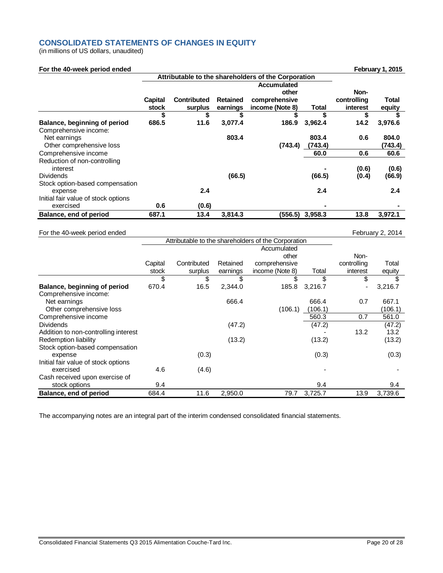# **CONSOLIDATED STATEMENTS OF CHANGES IN EQUITY**

(in millions of US dollars, unaudited)

| For the 40-week period ended        |         |                    |                 |                                                     |         |             | <b>February 1, 2015</b> |
|-------------------------------------|---------|--------------------|-----------------|-----------------------------------------------------|---------|-------------|-------------------------|
|                                     |         |                    |                 | Attributable to the shareholders of the Corporation |         |             |                         |
|                                     |         |                    |                 | <b>Accumulated</b>                                  |         |             |                         |
|                                     |         |                    |                 | other                                               |         | Non-        |                         |
|                                     | Capital | <b>Contributed</b> | <b>Retained</b> | comprehensive                                       |         | controlling | Total                   |
|                                     | stock   | surplus            | earnings        | income (Note 8)                                     | Total   | interest    | equity                  |
|                                     | S       | \$                 |                 | \$                                                  | S       | \$          |                         |
| Balance, beginning of period        | 686.5   | 11.6               | 3,077.4         | 186.9                                               | 3,962.4 | 14.2        | 3,976.6                 |
| Comprehensive income:               |         |                    |                 |                                                     |         |             |                         |
| Net earnings                        |         |                    | 803.4           |                                                     | 803.4   | 0.6         | 804.0                   |
| Other comprehensive loss            |         |                    |                 | (743.4)                                             | (743.4) |             | (743.4)                 |
| Comprehensive income                |         |                    |                 |                                                     | 60.0    | 0.6         | 60.6                    |
| Reduction of non-controlling        |         |                    |                 |                                                     |         |             |                         |
| interest                            |         |                    |                 |                                                     |         | (0.6)       | (0.6)                   |
| <b>Dividends</b>                    |         |                    | (66.5)          |                                                     | (66.5)  | (0.4)       | (66.9)                  |
| Stock option-based compensation     |         |                    |                 |                                                     |         |             |                         |
| expense                             |         | 2.4                |                 |                                                     | 2.4     |             | 2.4                     |
| Initial fair value of stock options |         |                    |                 |                                                     |         |             |                         |
| exercised                           | 0.6     | (0.6)              |                 |                                                     |         |             |                         |
| Balance, end of period              | 687.1   | 13.4               | 3,814.3         | (556.5)                                             | 3,958.3 | 13.8        | 3,972.1                 |

### For the 40-week period ended February 2, 2014

| <b>TOT the 40 Week period chaca</b>  |         |             |          |                                                     |         |             | $1$ CDIGCITES, $2017$ |
|--------------------------------------|---------|-------------|----------|-----------------------------------------------------|---------|-------------|-----------------------|
|                                      |         |             |          | Attributable to the shareholders of the Corporation |         |             |                       |
|                                      |         |             |          |                                                     |         |             |                       |
|                                      |         |             |          | other                                               |         | Non-        |                       |
|                                      | Capital | Contributed | Retained | comprehensive                                       |         | controlling | Total                 |
|                                      | stock   | surplus     | earnings | income (Note 8)                                     | Total   | interest    | equity                |
|                                      | \$      | \$          |          | \$                                                  | \$      | \$          |                       |
| Balance, beginning of period         | 670.4   | 16.5        | 2,344.0  | 185.8                                               | 3,216.7 |             | 3,216.7               |
| Comprehensive income:                |         |             |          |                                                     |         |             |                       |
| Net earnings                         |         |             | 666.4    |                                                     | 666.4   | 0.7         | 667.1                 |
| Other comprehensive loss             |         |             |          | (106.1)                                             | (106.1) |             | (106.1)               |
| Comprehensive income                 |         |             |          |                                                     | 560.3   | 0.7         | 561.0                 |
| <b>Dividends</b>                     |         |             | (47.2)   |                                                     | (47.2)  |             | (47.2)                |
| Addition to non-controlling interest |         |             |          |                                                     |         | 13.2        | 13.2                  |
| Redemption liability                 |         |             | (13.2)   |                                                     | (13.2)  |             | (13.2)                |
| Stock option-based compensation      |         |             |          |                                                     |         |             |                       |
| expense                              |         | (0.3)       |          |                                                     | (0.3)   |             | (0.3)                 |
| Initial fair value of stock options  |         |             |          |                                                     |         |             |                       |
| exercised                            | 4.6     | (4.6)       |          |                                                     |         |             |                       |
| Cash received upon exercise of       |         |             |          |                                                     |         |             |                       |
| stock options                        | 9.4     |             |          |                                                     | 9.4     |             | 9.4                   |
| Balance, end of period               | 684.4   | 11.6        | 2,950.0  | 79.7                                                | 3,725.7 | 13.9        | 3,739.6               |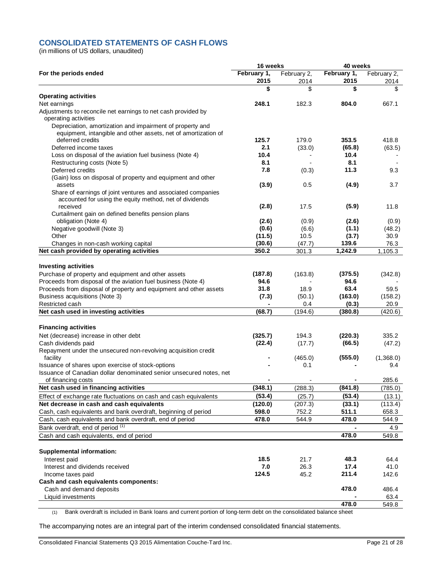# **CONSOLIDATED STATEMENTS OF CASH FLOWS**

(in millions of US dollars, unaudited)

|                                                                                                                             | 16 weeks            |                     | 40 weeks            |                     |  |
|-----------------------------------------------------------------------------------------------------------------------------|---------------------|---------------------|---------------------|---------------------|--|
| For the periods ended                                                                                                       | February 1,<br>2015 | February 2,<br>2014 | February 1,<br>2015 | February 2,<br>2014 |  |
|                                                                                                                             | \$                  | \$                  | \$                  | \$                  |  |
| <b>Operating activities</b>                                                                                                 |                     |                     |                     |                     |  |
| Net earnings                                                                                                                | 248.1               | 182.3               | 804.0               | 667.1               |  |
| Adjustments to reconcile net earnings to net cash provided by                                                               |                     |                     |                     |                     |  |
| operating activities                                                                                                        |                     |                     |                     |                     |  |
| Depreciation, amortization and impairment of property and<br>equipment, intangible and other assets, net of amortization of |                     |                     |                     |                     |  |
| deferred credits                                                                                                            | 125.7               | 179.0               | 353.5               | 418.8               |  |
| Deferred income taxes                                                                                                       | 2.1                 | (33.0)              | (65.8)              | (63.5)              |  |
| Loss on disposal of the aviation fuel business (Note 4)                                                                     | 10.4                |                     | 10.4                |                     |  |
| Restructuring costs (Note 5)                                                                                                | 8.1                 |                     | 8.1                 |                     |  |
| Deferred credits                                                                                                            | 7.8                 | (0.3)               | 11.3                | 9.3                 |  |
| (Gain) loss on disposal of property and equipment and other                                                                 |                     |                     |                     |                     |  |
| assets                                                                                                                      | (3.9)               | 0.5                 | (4.9)               | 3.7                 |  |
| Share of earnings of joint ventures and associated companies                                                                |                     |                     |                     |                     |  |
| accounted for using the equity method, net of dividends                                                                     |                     |                     |                     |                     |  |
| received                                                                                                                    | (2.8)               | 17.5                | (5.9)               | 11.8                |  |
| Curtailment gain on defined benefits pension plans                                                                          |                     |                     |                     |                     |  |
| obligation (Note 4)                                                                                                         | (2.6)               | (0.9)               | (2.6)               | (0.9)               |  |
| Negative goodwill (Note 3)                                                                                                  | (0.6)               | (6.6)               | (1.1)               | (48.2)              |  |
| Other                                                                                                                       | (11.5)              | 10.5                | (3.7)               | 30.9                |  |
| Changes in non-cash working capital                                                                                         | (30.6)              | (47.7)              | 139.6               | 76.3                |  |
| Net cash provided by operating activities                                                                                   | 350.2               | 301.3               | 1,242.9             | 1,105.3             |  |
| <b>Investing activities</b>                                                                                                 |                     |                     |                     |                     |  |
| Purchase of property and equipment and other assets                                                                         | (187.8)             | (163.8)             | (375.5)             | (342.8)             |  |
| Proceeds from disposal of the aviation fuel business (Note 4)                                                               | 94.6                |                     | 94.6                |                     |  |
| Proceeds from disposal of property and equipment and other assets                                                           | 31.8                | 18.9                | 63.4                | 59.5                |  |
| Business acquisitions (Note 3)                                                                                              | (7.3)               | (50.1)              | (163.0)             | (158.2)             |  |
| Restricted cash                                                                                                             |                     | 0.4                 | (0.3)               | 20.9                |  |
| Net cash used in investing activities                                                                                       | (68.7)              | (194.6)             | (380.8)             | (420.6)             |  |
|                                                                                                                             |                     |                     |                     |                     |  |
| <b>Financing activities</b>                                                                                                 |                     |                     |                     |                     |  |
| Net (decrease) increase in other debt                                                                                       | (325.7)             | 194.3               | (220.3)             | 335.2               |  |
| Cash dividends paid                                                                                                         | (22.4)              | (17.7)              | (66.5)              | (47.2)              |  |
| Repayment under the unsecured non-revolving acquisition credit                                                              |                     |                     |                     |                     |  |
| facility                                                                                                                    |                     | (465.0)             | (555.0)             | (1,368.0)           |  |
| Issuance of shares upon exercise of stock-options                                                                           |                     | 0.1                 |                     | 9.4                 |  |
| Issuance of Canadian dollar denominated senior unsecured notes, net                                                         |                     |                     |                     |                     |  |
| of financing costs                                                                                                          |                     |                     |                     | 285.6               |  |
| Net cash used in financing activities                                                                                       | (348.1)             | (288.3)             | (841.8)             | (785.0)             |  |
| Effect of exchange rate fluctuations on cash and cash equivalents                                                           | (53.4)              | (25.7)              | (53.4)              | (13.1)              |  |
| Net decrease in cash and cash equivalents                                                                                   | (120.0)<br>598.0    | (207.3)<br>752.2    | (33.1)              | (113.4)             |  |
| Cash, cash equivalents and bank overdraft, beginning of period                                                              | 478.0               |                     | 511.1               | 658.3               |  |
| Cash, cash equivalents and bank overdraft, end of period                                                                    |                     | 544.9               | 478.0               | 544.9               |  |
| Bank overdraft, end of period (1)                                                                                           |                     |                     |                     | 4.9                 |  |
| Cash and cash equivalents, end of period                                                                                    |                     |                     | 478.0               | 549.8               |  |
| <b>Supplemental information:</b>                                                                                            |                     |                     |                     |                     |  |
| Interest paid                                                                                                               | 18.5                | 21.7                | 48.3                | 64.4                |  |
| Interest and dividends received                                                                                             | 7.0                 | 26.3                | 17.4                | 41.0                |  |
| Income taxes paid                                                                                                           | 124.5               | 45.2                | 211.4               | 142.6               |  |
| Cash and cash equivalents components:                                                                                       |                     |                     |                     |                     |  |
| Cash and demand deposits                                                                                                    |                     |                     | 478.0               | 486.4               |  |
| Liquid investments                                                                                                          |                     |                     |                     | 63.4                |  |
|                                                                                                                             |                     |                     | 478.0               | 549.8               |  |

(1) Bank overdraft is included in Bank loans and current portion of long-term debt on the consolidated balance sheet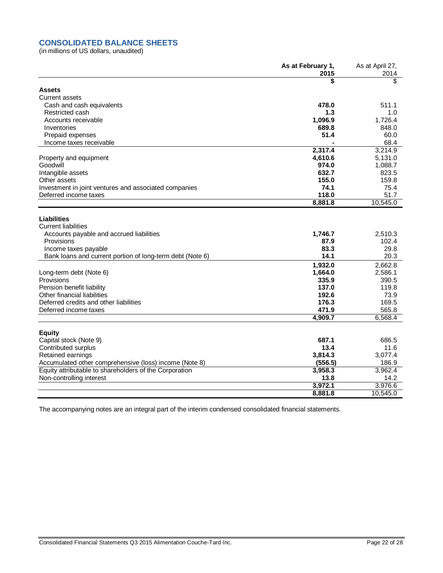# **CONSOLIDATED BALANCE SHEETS**

(in millions of US dollars, unaudited)

|                                                                                                                  | As at February 1,<br>2015 | As at April 27,<br>2014 |
|------------------------------------------------------------------------------------------------------------------|---------------------------|-------------------------|
|                                                                                                                  | \$                        | \$                      |
| <b>Assets</b>                                                                                                    |                           |                         |
| <b>Current assets</b>                                                                                            |                           |                         |
| Cash and cash equivalents                                                                                        | 478.0                     | 511.1                   |
| Restricted cash                                                                                                  | 1.3                       | 1.0                     |
| Accounts receivable                                                                                              | 1.096.9                   | 1.726.4                 |
| Inventories                                                                                                      | 689.8                     | 848.0                   |
| Prepaid expenses                                                                                                 | 51.4                      | 60.0                    |
| Income taxes receivable                                                                                          |                           | 68.4                    |
|                                                                                                                  | 2,317.4                   | 3,214.9                 |
| Property and equipment                                                                                           | 4,610.6                   | 5,131.0                 |
| Goodwill                                                                                                         | 974.0                     | 1,088.7                 |
| Intangible assets                                                                                                | 632.7                     | 823.5                   |
| Other assets                                                                                                     | 155.0                     | 159.8                   |
| Investment in joint ventures and associated companies                                                            | 74.1                      | 75.4                    |
| Deferred income taxes                                                                                            | 118.0                     | 51.7                    |
|                                                                                                                  | 8,881.8                   | 10,545.0                |
| Liabilities                                                                                                      |                           |                         |
| <b>Current liabilities</b>                                                                                       |                           |                         |
| Accounts payable and accrued liabilities                                                                         | 1,746.7                   | 2,510.3                 |
| Provisions                                                                                                       | 87.9                      | 102.4                   |
| Income taxes payable                                                                                             | 83.3                      | 29.8                    |
| Bank loans and current portion of long-term debt (Note 6)                                                        | 14.1                      | 20.3                    |
|                                                                                                                  | 1,932.0                   | 2,662.8                 |
| Long-term debt (Note 6)                                                                                          | 1,664.0                   | 2,586.1                 |
| Provisions                                                                                                       | 335.9                     | 390.5                   |
| Pension benefit liability                                                                                        | 137.0                     | 119.8                   |
| Other financial liabilities                                                                                      | 192.6                     | 73.9                    |
| Deferred credits and other liabilities                                                                           | 176.3                     | 169.5                   |
| Deferred income taxes                                                                                            | 471.9                     | 565.8                   |
|                                                                                                                  | 4,909.7                   | 6,568.4                 |
|                                                                                                                  |                           |                         |
| <b>Equity</b>                                                                                                    | 687.1                     | 686.5                   |
| Capital stock (Note 9)                                                                                           | 13.4                      | 11.6                    |
| Contributed surplus<br>Retained earnings                                                                         | 3,814.3                   | 3,077.4                 |
|                                                                                                                  |                           | 186.9                   |
| Accumulated other comprehensive (loss) income (Note 8)<br>Equity attributable to shareholders of the Corporation | (556.5)<br>3,958.3        | 3,962.4                 |
| Non-controlling interest                                                                                         | 13.8                      | 14.2                    |
|                                                                                                                  | 3,972.1                   | 3,976.6                 |
|                                                                                                                  | 8,881.8                   | 10.545.0                |
|                                                                                                                  |                           |                         |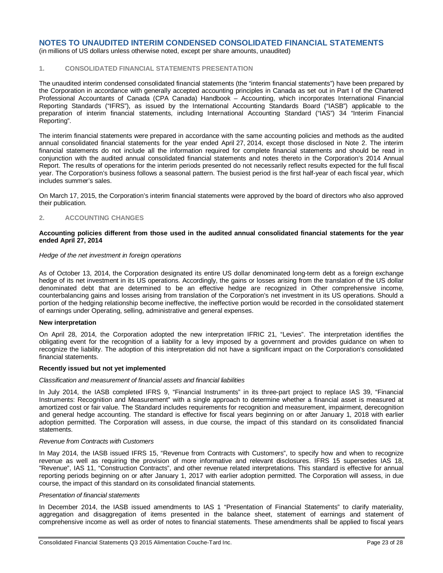(in millions of US dollars unless otherwise noted, except per share amounts, unaudited)

### **1. CONSOLIDATED FINANCIAL STATEMENTS PRESENTATION**

The unaudited interim condensed consolidated financial statements (the "interim financial statements") have been prepared by the Corporation in accordance with generally accepted accounting principles in Canada as set out in Part I of the Chartered Professional Accountants of Canada (CPA Canada) Handbook – Accounting, which incorporates International Financial Reporting Standards ("IFRS"), as issued by the International Accounting Standards Board ("IASB") applicable to the preparation of interim financial statements, including International Accounting Standard ("IAS") 34 "Interim Financial Reporting".

The interim financial statements were prepared in accordance with the same accounting policies and methods as the audited annual consolidated financial statements for the year ended April 27, 2014, except those disclosed in Note 2. The interim financial statements do not include all the information required for complete financial statements and should be read in conjunction with the audited annual consolidated financial statements and notes thereto in the Corporation's 2014 Annual Report. The results of operations for the interim periods presented do not necessarily reflect results expected for the full fiscal year. The Corporation's business follows a seasonal pattern. The busiest period is the first half-year of each fiscal year, which includes summer's sales.

On March 17, 2015, the Corporation's interim financial statements were approved by the board of directors who also approved their publication.

#### **2. ACCOUNTING CHANGES**

### **Accounting policies different from those used in the audited annual consolidated financial statements for the year ended April 27, 2014**

#### *Hedge of the net investment in foreign operations*

As of October 13, 2014, the Corporation designated its entire US dollar denominated long-term debt as a foreign exchange hedge of its net investment in its US operations. Accordingly, the gains or losses arising from the translation of the US dollar denominated debt that are determined to be an effective hedge are recognized in Other comprehensive income, counterbalancing gains and losses arising from translation of the Corporation's net investment in its US operations. Should a portion of the hedging relationship become ineffective, the ineffective portion would be recorded in the consolidated statement of earnings under Operating, selling, administrative and general expenses.

### **New interpretation**

On April 28, 2014, the Corporation adopted the new interpretation IFRIC 21, "Levies". The interpretation identifies the obligating event for the recognition of a liability for a levy imposed by a government and provides guidance on when to recognize the liability. The adoption of this interpretation did not have a significant impact on the Corporation's consolidated financial statements.

#### **Recently issued but not yet implemented**

#### *Classification and measurement of financial assets and financial liabilities*

In July 2014, the IASB completed IFRS 9, "Financial Instruments" in its three-part project to replace IAS 39, "Financial Instruments: Recognition and Measurement" with a single approach to determine whether a financial asset is measured at amortized cost or fair value. The Standard includes requirements for recognition and measurement, impairment, derecognition and general hedge accounting. The standard is effective for fiscal years beginning on or after January 1, 2018 with earlier adoption permitted. The Corporation will assess, in due course, the impact of this standard on its consolidated financial statements.

### *Revenue from Contracts with Customers*

In May 2014, the IASB issued IFRS 15, "Revenue from Contracts with Customers", to specify how and when to recognize revenue as well as requiring the provision of more informative and relevant disclosures. IFRS 15 supersedes IAS 18, "Revenue", IAS 11, "Construction Contracts", and other revenue related interpretations. This standard is effective for annual reporting periods beginning on or after January 1, 2017 with earlier adoption permitted. The Corporation will assess, in due course, the impact of this standard on its consolidated financial statements.

### *Presentation of financial statements*

In December 2014, the IASB issued amendments to IAS 1 "Presentation of Financial Statements" to clarify materiality, aggregation and disaggregation of items presented in the balance sheet, statement of earnings and statement of comprehensive income as well as order of notes to financial statements. These amendments shall be applied to fiscal years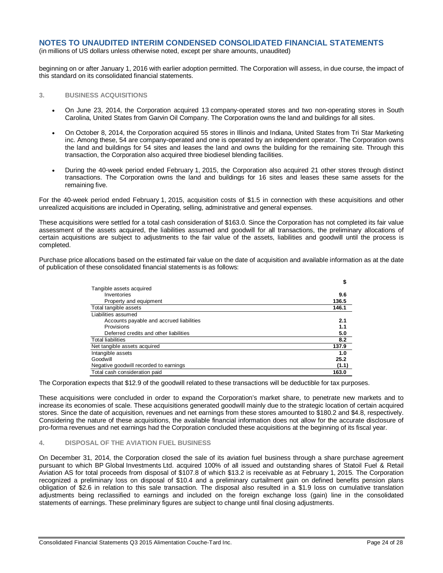(in millions of US dollars unless otherwise noted, except per share amounts, unaudited)

beginning on or after January 1, 2016 with earlier adoption permitted. The Corporation will assess, in due course, the impact of this standard on its consolidated financial statements.

### **3. BUSINESS ACQUISITIONS**

- On June 23, 2014, the Corporation acquired 13 company-operated stores and two non-operating stores in South Carolina, United States from Garvin Oil Company. The Corporation owns the land and buildings for all sites.
- On October 8, 2014, the Corporation acquired 55 stores in Illinois and Indiana, United States from Tri Star Marketing inc. Among these, 54 are company-operated and one is operated by an independent operator. The Corporation owns the land and buildings for 54 sites and leases the land and owns the building for the remaining site. Through this transaction, the Corporation also acquired three biodiesel blending facilities.
- During the 40-week period ended February 1, 2015, the Corporation also acquired 21 other stores through distinct transactions. The Corporation owns the land and buildings for 16 sites and leases these same assets for the remaining five.

For the 40-week period ended February 1, 2015, acquisition costs of \$1.5 in connection with these acquisitions and other unrealized acquisitions are included in Operating, selling, administrative and general expenses.

These acquisitions were settled for a total cash consideration of \$163.0. Since the Corporation has not completed its fair value assessment of the assets acquired, the liabilities assumed and goodwill for all transactions, the preliminary allocations of certain acquisitions are subject to adjustments to the fair value of the assets, liabilities and goodwill until the process is completed.

Purchase price allocations based on the estimated fair value on the date of acquisition and available information as at the date of publication of these consolidated financial statements is as follows:

|                                          | \$    |
|------------------------------------------|-------|
| Tangible assets acquired                 |       |
| Inventories                              | 9.6   |
| Property and equipment                   | 136.5 |
| Total tangible assets                    | 146.1 |
| Liabilities assumed                      |       |
| Accounts payable and accrued liabilities | 2.1   |
| Provisions                               | 1.1   |
| Deferred credits and other liabilities   | 5.0   |
| <b>Total liabilities</b>                 | 8.2   |
| Net tangible assets acquired             | 137.9 |
| Intangible assets                        | 1.0   |
| Goodwill                                 | 25.2  |
| Negative goodwill recorded to earnings   | (1.1) |
| Total cash consideration paid            | 163.0 |

The Corporation expects that \$12.9 of the goodwill related to these transactions will be deductible for tax purposes.

These acquisitions were concluded in order to expand the Corporation's market share, to penetrate new markets and to increase its economies of scale. These acquisitions generated goodwill mainly due to the strategic location of certain acquired stores. Since the date of acquisition, revenues and net earnings from these stores amounted to \$180.2 and \$4.8, respectively. Considering the nature of these acquisitions, the available financial information does not allow for the accurate disclosure of pro-forma revenues and net earnings had the Corporation concluded these acquisitions at the beginning of its fiscal year.

### **4. DISPOSAL OF THE AVIATION FUEL BUSINESS**

On December 31, 2014, the Corporation closed the sale of its aviation fuel business through a share purchase agreement pursuant to which BP Global Investments Ltd. acquired 100% of all issued and outstanding shares of Statoil Fuel & Retail Aviation AS for total proceeds from disposal of \$107.8 of which \$13.2 is receivable as at February 1, 2015. The Corporation recognized a preliminary loss on disposal of \$10.4 and a preliminary curtailment gain on defined benefits pension plans obligation of \$2.6 in relation to this sale transaction. The disposal also resulted in a \$1.9 loss on cumulative translation adjustments being reclassified to earnings and included on the foreign exchange loss (gain) line in the consolidated statements of earnings. These preliminary figures are subject to change until final closing adjustments.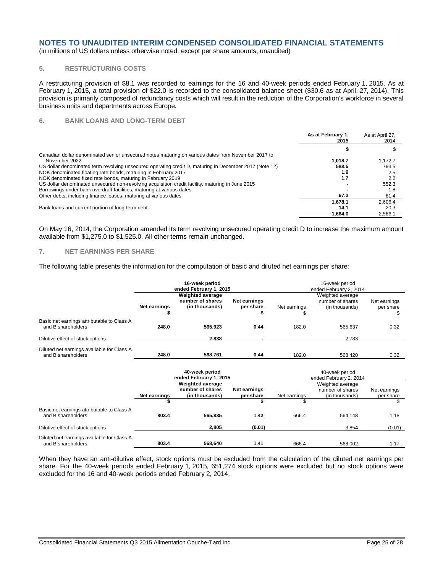(in millions of US dollars unless otherwise noted, except per share amounts, unaudited)

### **5. RESTRUCTURING COSTS**

A restructuring provision of \$8.1 was recorded to earnings for the 16 and 40-week periods ended February 1, 2015. As at February 1, 2015, a total provision of \$22.0 is recorded to the consolidated balance sheet (\$30.6 as at April, 27, 2014). This provision is primarily composed of redundancy costs which will result in the reduction of the Corporation's workforce in several business units and departments across Europe.

### **6. BANK LOANS AND LONG-TERM DEBT**

|                                                                                                        | As at February 1,<br>2015 | As at April 27,<br>2014 |
|--------------------------------------------------------------------------------------------------------|---------------------------|-------------------------|
|                                                                                                        |                           |                         |
| Canadian dollar denominated senior unsecured notes maturing on various dates from November 2017 to     |                           |                         |
| November 2022                                                                                          | 1.018.7                   | 1.172.7                 |
| US dollar denominated term revolving unsecured operating credit D, maturing in December 2017 (Note 12) | 588.5                     | 793.5                   |
| NOK denominated floating rate bonds, maturing in February 2017                                         | 1.9                       | 2.5                     |
| NOK denominated fixed rate bonds, maturing in February 2019                                            | 1.7                       | 2.2                     |
| US dollar denominated unsecured non-revolving acquisition credit facility, maturing in June 2015       |                           | 552.3                   |
| Borrowings under bank overdraft facilities, maturing at various dates                                  |                           | 1.8                     |
| Other debts, including finance leases, maturing at various dates                                       | 67.3                      | 81.4                    |
|                                                                                                        | 1.678.1                   | 2.606.4                 |
| Bank loans and current portion of long-term debt                                                       | 14.1                      | 20.3                    |
|                                                                                                        | 1.664.0                   | 2.586.1                 |

On May 16, 2014, the Corporation amended its term revolving unsecured operating credit D to increase the maximum amount available from \$1,275.0 to \$1,525.0. All other terms remain unchanged.

### **7. NET EARNINGS PER SHARE**

The following table presents the information for the computation of basic and diluted net earnings per share:

|                                                                  |                                                                                                            | 16-week period<br>ended February 1, 2015                      |                           | 16-week period<br>ended February 2, 2014               |                                                        |                           |  |
|------------------------------------------------------------------|------------------------------------------------------------------------------------------------------------|---------------------------------------------------------------|---------------------------|--------------------------------------------------------|--------------------------------------------------------|---------------------------|--|
|                                                                  | Net earnings                                                                                               | <b>Weighted average</b><br>number of shares<br>(in thousands) | Net earnings<br>per share | Net earnings                                           | Weighted average<br>number of shares<br>(in thousands) | Net earnings<br>per share |  |
|                                                                  | \$                                                                                                         |                                                               | \$                        |                                                        |                                                        | \$                        |  |
| Basic net earnings attributable to Class A<br>and B shareholders | 248.0                                                                                                      | 565,923                                                       | 0.44                      | 182.0                                                  | 565,637                                                | 0.32                      |  |
| Dilutive effect of stock options                                 |                                                                                                            | 2,838                                                         |                           |                                                        | 2,783                                                  |                           |  |
| Diluted net earnings available for Class A<br>and B shareholders | 248.0                                                                                                      | 568,761                                                       | 0.44                      | 182.0                                                  | 568,420                                                | 0.32                      |  |
|                                                                  | 40-week period<br>ended February 1, 2015                                                                   |                                                               |                           | 40-week period<br>ended February 2, 2014               |                                                        |                           |  |
|                                                                  | <b>Weighted average</b><br>number of shares<br>Net earnings<br>Net earnings<br>per share<br>(in thousands) |                                                               | Net earnings              | Weighted average<br>number of shares<br>(in thousands) | Net earnings<br>per share                              |                           |  |
|                                                                  | \$                                                                                                         |                                                               | \$                        | \$                                                     |                                                        | \$                        |  |
| Basic net earnings attributable to Class A<br>and B shareholders | 803.4                                                                                                      | 565,835                                                       | 1.42                      | 666.4                                                  | 564,148                                                | 1.18                      |  |
| Dilutive effect of stock options                                 |                                                                                                            | 2,805                                                         | (0.01)                    |                                                        | 3,854                                                  | (0.01)                    |  |
| Diluted net earnings available for Class A<br>and B shareholders | 803.4                                                                                                      | 568.640                                                       | 1.41                      | 666.4                                                  | 568.002                                                | 1.17                      |  |

When they have an anti-dilutive effect, stock options must be excluded from the calculation of the diluted net earnings per share. For the 40-week periods ended February 1, 2015, 651,274 stock options were excluded but no stock options were excluded for the 16 and 40-week periods ended February 2, 2014.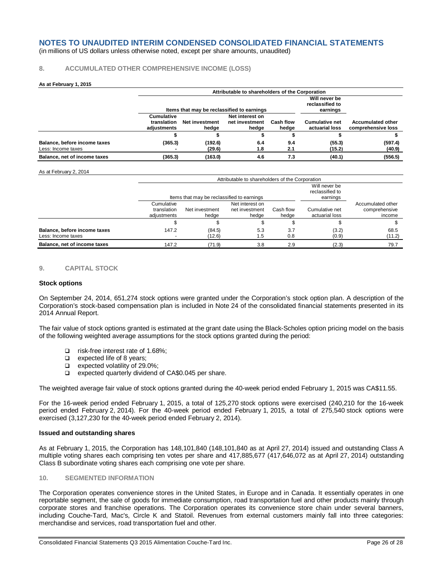(in millions of US dollars unless otherwise noted, except per share amounts, unaudited)

### **8. ACCUMULATED OTHER COMPREHENSIVE INCOME (LOSS)**

#### **As at February 1, 2015**

|                                                    |                                          | Attributable to shareholders of the Corporation |                                              |                    |                                         |                                                |  |  |  |  |
|----------------------------------------------------|------------------------------------------|-------------------------------------------------|----------------------------------------------|--------------------|-----------------------------------------|------------------------------------------------|--|--|--|--|
|                                                    |                                          | Items that may be reclassified to earnings      | Will never be<br>reclassified to<br>earnings |                    |                                         |                                                |  |  |  |  |
|                                                    | Cumulative<br>translation<br>adiustments | Net investment<br>hedae                         | Net interest on<br>net investment<br>hedge   | Cash flow<br>hedge | <b>Cumulative net</b><br>actuarial loss | <b>Accumulated other</b><br>comprehensive loss |  |  |  |  |
|                                                    |                                          |                                                 |                                              |                    |                                         |                                                |  |  |  |  |
| Balance, before income taxes<br>Less: Income taxes | (365.3)                                  | (192.6)<br>(29.6)                               | 6.4<br>1.8                                   | 9.4<br>2.1         | (55.3)<br>(15.2)                        | (597.4)<br>(40.9)                              |  |  |  |  |
| Balance, net of income taxes                       | (365.3)                                  | (163.0)                                         | 4.6                                          | 7.3                | (40.1)                                  | (556.5)                                        |  |  |  |  |

#### As at February 2, 2014

|                                                    |                                          | Attributable to shareholders of the Corporation |                                              |                    |                                  |                                              |  |  |  |
|----------------------------------------------------|------------------------------------------|-------------------------------------------------|----------------------------------------------|--------------------|----------------------------------|----------------------------------------------|--|--|--|
|                                                    |                                          | Items that may be reclassified to earnings      | Will never be<br>reclassified to<br>earnings |                    |                                  |                                              |  |  |  |
|                                                    | Cumulative<br>translation<br>adjustments | Net investment<br>hedae                         | Net interest on<br>net investment<br>hedge   | Cash flow<br>hedge | Cumulative net<br>actuarial loss | Accumulated other<br>comprehensive<br>income |  |  |  |
|                                                    |                                          |                                                 |                                              |                    |                                  |                                              |  |  |  |
| Balance, before income taxes<br>Less: Income taxes | 147.2                                    | (84.5)<br>(12.6)                                | 5.3<br>1.5                                   | 3.7<br>0.8         | (3.2)<br>(0.9)                   | 68.5<br>(11.2)                               |  |  |  |
| Balance, net of income taxes                       | 147.2                                    | (71.9)                                          | 3.8                                          | 2.9                | (2.3)                            | 79.7                                         |  |  |  |

### **9. CAPITAL STOCK**

#### **Stock options**

On September 24, 2014, 651,274 stock options were granted under the Corporation's stock option plan. A description of the Corporation's stock-based compensation plan is included in Note 24 of the consolidated financial statements presented in its 2014 Annual Report.

The fair value of stock options granted is estimated at the grant date using the Black-Scholes option pricing model on the basis of the following weighted average assumptions for the stock options granted during the period:

- □ risk-free interest rate of 1.68%;
- $\Box$  expected life of 8 years;
- $\Box$  expected volatility of 29.0%;
- □ expected quarterly dividend of CA\$0.045 per share.

The weighted average fair value of stock options granted during the 40-week period ended February 1, 2015 was CA\$11.55.

For the 16-week period ended February 1, 2015, a total of 125,270 stock options were exercised (240,210 for the 16-week period ended February 2, 2014). For the 40-week period ended February 1, 2015, a total of 275,540 stock options were exercised (3,127,230 for the 40-week period ended February 2, 2014).

#### **Issued and outstanding shares**

As at February 1, 2015, the Corporation has 148,101,840 (148,101,840 as at April 27, 2014) issued and outstanding Class A multiple voting shares each comprising ten votes per share and 417,885,677 (417,646,072 as at April 27, 2014) outstanding Class B subordinate voting shares each comprising one vote per share.

### **10. SEGMENTED INFORMATION**

The Corporation operates convenience stores in the United States, in Europe and in Canada. It essentially operates in one reportable segment, the sale of goods for immediate consumption, road transportation fuel and other products mainly through corporate stores and franchise operations. The Corporation operates its convenience store chain under several banners, including Couche-Tard, Mac's, Circle K and Statoil. Revenues from external customers mainly fall into three categories: merchandise and services, road transportation fuel and other.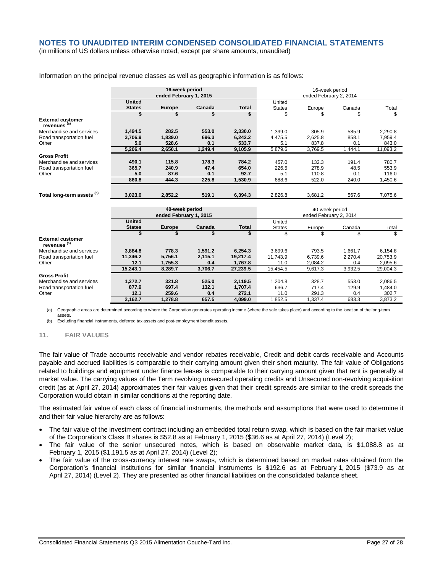(in millions of US dollars unless otherwise noted, except per share amounts, unaudited)

|                                                     | 16-week period<br>ended February 1, 2015 |               |         |                | 16-week period<br>ended February 2, 2014 |         |         |          |
|-----------------------------------------------------|------------------------------------------|---------------|---------|----------------|------------------------------------------|---------|---------|----------|
|                                                     | <b>United</b>                            |               |         |                | United                                   |         |         |          |
|                                                     | <b>States</b>                            | <b>Europe</b> | Canada  | <b>Total</b>   | <b>States</b>                            | Europe  | Canada  | Total    |
|                                                     | \$                                       | \$            | \$      | \$             | \$                                       | \$      | \$      | \$       |
| <b>External customer</b><br>revenues <sup>(a)</sup> |                                          |               |         |                |                                          |         |         |          |
| Merchandise and services                            | 1,494.5                                  | 282.5         | 553.0   | 2,330.0        | 1,399.0                                  | 305.9   | 585.9   | 2,290.8  |
| Road transportation fuel                            | 3,706.9                                  | 1,839.0       | 696.3   | 6.242.2        | 4,475.5                                  | 2,625.8 | 858.1   | 7,959.4  |
| Other                                               | 5.0                                      | 528.6         | 0.1     | 533.7          | 5.1                                      | 837.8   | 0.1     | 843.0    |
|                                                     | 5,206.4                                  | 2,650.1       | 1,249.4 | 9,105.9        | 5,879.6                                  | 3,769.5 | 1,444.1 | 11,093.2 |
| <b>Gross Profit</b>                                 |                                          |               |         |                |                                          |         |         |          |
| Merchandise and services                            | 490.1                                    | 115.8         | 178.3   | 784.2          | 457.0                                    | 132.3   | 191.4   | 780.7    |
| Road transportation fuel                            | 365.7                                    | 240.9         | 47.4    | 654.0          | 226.5                                    | 278.9   | 48.5    | 553.9    |
| Other                                               | 5.0                                      | 87.6          | 0.1     | 92.7           | 5.1                                      | 110.8   | 0.1     | 116.0    |
|                                                     | 860.8                                    | 444.3         | 225.8   | 1.530.9        | 688.6                                    | 522.0   | 240.0   | 1,450.6  |
|                                                     |                                          |               |         |                |                                          |         |         |          |
| Total long-term assets (b)                          | 3.023.0                                  | 2,852.2       | 519.1   | 6,394.3        | 2.826.8                                  | 3,681.2 | 567.6   | 7,075.6  |
|                                                     | 40-week period                           |               |         | 40-week period |                                          |         |         |          |
|                                                     | ended February 1, 2015                   |               |         |                | ended February 2, 2014                   |         |         |          |
|                                                     | <b>United</b>                            |               |         |                | United                                   |         |         |          |
|                                                     | <b>States</b>                            | <b>Europe</b> | Canada  | <b>Total</b>   | <b>States</b>                            | Europe  | Canada  | Total    |
|                                                     | \$                                       | \$            | \$      | \$             | \$                                       | \$      | \$      | \$       |
| <b>External customer</b><br>revenues <sup>(a)</sup> |                                          |               |         |                |                                          |         |         |          |
| Merchandise and services                            | 3,884.8                                  | 778.3         | 1,591.2 | 6,254.3        | 3.699.6                                  | 793.5   | 1,661.7 | 6,154.8  |
| Road transportation fuel                            | 11,346.2                                 | 5,756.1       | 2,115.1 | 19,217.4       | 11.743.9                                 | 6,739.6 | 2.270.4 | 20,753.9 |
| Other                                               | 12.1                                     | 1,755.3       | 0.4     | 1,767.8        | 11.0                                     | 2,084.2 | 0.4     | 2,095.6  |
|                                                     | 15,243.1                                 | 8,289.7       | 3.706.7 | 27,239.5       | 15,454.5                                 | 9,617.3 | 3,932.5 | 29,004.3 |
| <b>Gross Profit</b>                                 |                                          |               |         |                |                                          |         |         |          |
| Merchandise and services                            | 1,272.7                                  | 321.8         | 525.0   | 2,119.5        | 1,204.8                                  | 328.7   | 553.0   | 2,086.5  |
| Road transportation fuel                            | 877.9                                    | 697.4         | 132.1   | 1,707.4        | 636.7                                    | 717.4   | 129.9   | 1,484.0  |
| Other                                               | 12.1                                     | 259.6         | 0.4     | 272.1          | 11.0                                     | 291.3   | 0.4     | 302.7    |
|                                                     | 2,162.7                                  | 1,278.8       | 657.5   | 4,099.0        | 1,852.5                                  | 1,337.4 | 683.3   | 3,873.2  |

Information on the principal revenue classes as well as geographic information is as follows:

(a) Geographic areas are determined according to where the Corporation generates operating income (where the sale takes place) and according to the location of the long-term assets.

(b) Excluding financial instruments, deferred tax assets and post-employment benefit assets.

### **11. FAIR VALUES**

The fair value of Trade accounts receivable and vendor rebates receivable, Credit and debit cards receivable and Accounts payable and accrued liabilities is comparable to their carrying amount given their short maturity. The fair value of Obligations related to buildings and equipment under finance leases is comparable to their carrying amount given that rent is generally at market value. The carrying values of the Term revolving unsecured operating credits and Unsecured non-revolving acquisition credit (as at April 27, 2014) approximates their fair values given that their credit spreads are similar to the credit spreads the Corporation would obtain in similar conditions at the reporting date.

The estimated fair value of each class of financial instruments, the methods and assumptions that were used to determine it and their fair value hierarchy are as follows:

- The fair value of the investment contract including an embedded total return swap, which is based on the fair market value of the Corporation's Class B shares is \$52.8 as at February 1, 2015 (\$36.6 as at April 27, 2014) (Level 2);
- The fair value of the senior unsecured notes, which is based on observable market data, is \$1,088.8 as at February 1, 2015 (\$1,191.5 as at April 27, 2014) (Level 2);
- The fair value of the cross-currency interest rate swaps, which is determined based on market rates obtained from the Corporation's financial institutions for similar financial instruments is \$192.6 as at February 1, 2015 (\$73.9 as at April 27, 2014) (Level 2). They are presented as other financial liabilities on the consolidated balance sheet.